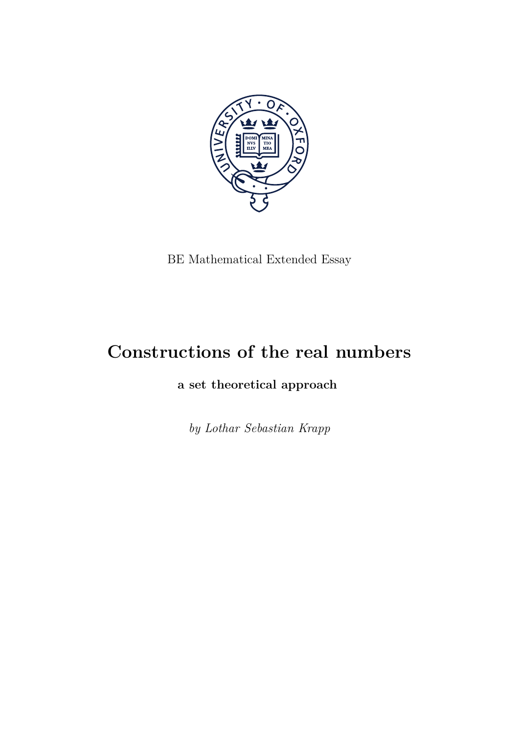

BE Mathematical Extended Essay

## **Constructions of the real numbers**

**a set theoretical approach**

*by Lothar Sebastian Krapp*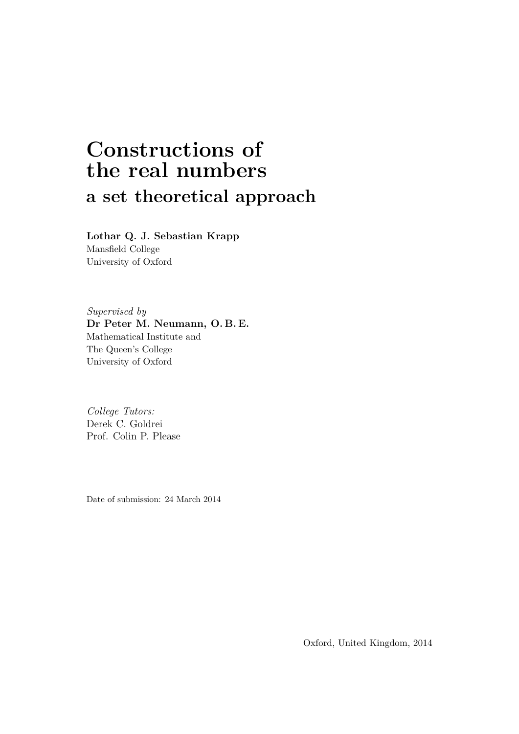# **Constructions of the real numbers a set theoretical approach**

**Lothar Q. J. Sebastian Krapp**

Mansfield College University of Oxford

*Supervised by* **Dr Peter M. Neumann, O. B. E.** Mathematical Institute and The Queen's College University of Oxford

*College Tutors:* Derek C. Goldrei Prof. Colin P. Please

Date of submission: 24 March 2014

Oxford, United Kingdom, 2014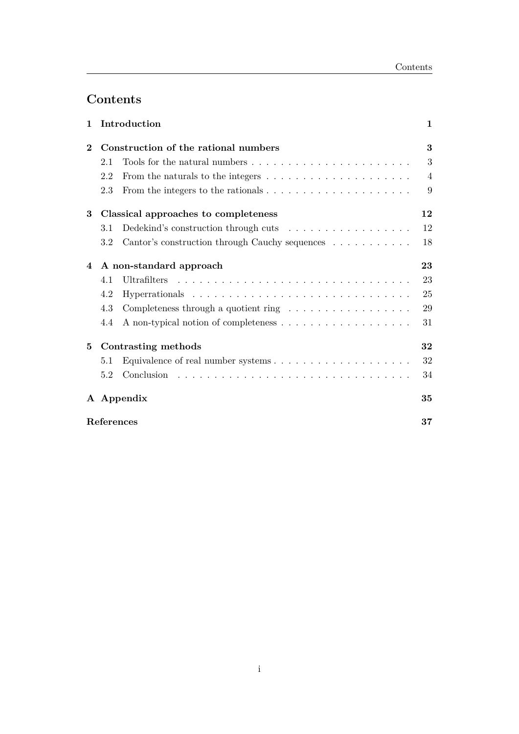## **Contents**

| Introduction<br>$\mathbf{1}$ |                                      |                                                                                       | $\mathbf 1$    |
|------------------------------|--------------------------------------|---------------------------------------------------------------------------------------|----------------|
| $\bf{2}$                     |                                      | Construction of the rational numbers                                                  |                |
|                              | 2.1                                  | Tools for the natural numbers $\dots \dots \dots \dots \dots \dots \dots \dots$       | 3              |
|                              | 2.2                                  | From the naturals to the integers $\dots \dots \dots \dots \dots \dots \dots$         | $\overline{4}$ |
|                              | 2.3                                  | From the integers to the rationals $\ldots \ldots \ldots \ldots \ldots \ldots \ldots$ | 9              |
| 3                            | Classical approaches to completeness |                                                                                       | 12             |
|                              | 3.1                                  | Dedekind's construction through cuts $\dots \dots \dots \dots \dots \dots$            | 12             |
|                              | 3.2                                  | Cantor's construction through Cauchy sequences                                        | 18             |
| 4                            | A non-standard approach              |                                                                                       | 23             |
|                              | 4.1                                  | Ultrafilters                                                                          | 23             |
|                              | 4.2                                  |                                                                                       | 25             |
|                              | 4.3                                  | Completeness through a quotient ring $\dots \dots \dots \dots \dots$                  | 29             |
|                              | 4.4                                  |                                                                                       | 31             |
| 5                            | Contrasting methods                  |                                                                                       | 32             |
|                              | 5.1                                  |                                                                                       | 32             |
|                              | 5.2                                  | Conclusion                                                                            | 34             |
|                              | A Appendix                           |                                                                                       | 35             |
|                              | References                           |                                                                                       |                |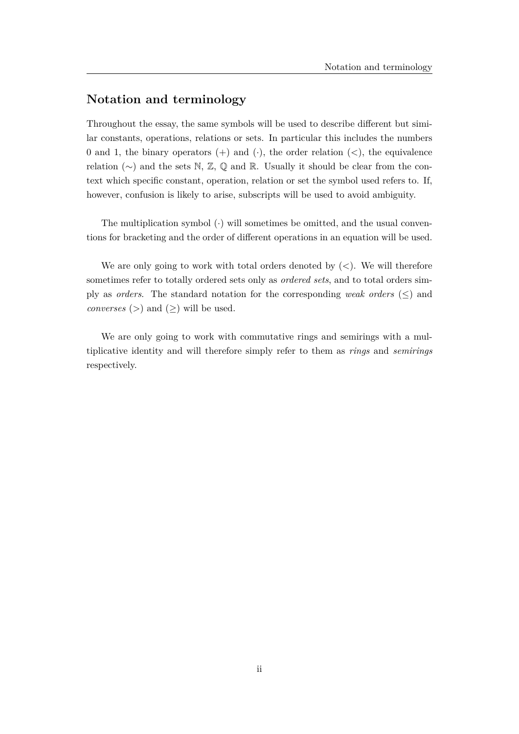## **Notation and terminology**

Throughout the essay, the same symbols will be used to describe different but similar constants, operations, relations or sets. In particular this includes the numbers 0 and 1, the binary operators (+) and (·), the order relation (*<*), the equivalence relation  $(\sim)$  and the sets N, Z, Q and R. Usually it should be clear from the context which specific constant, operation, relation or set the symbol used refers to. If, however, confusion is likely to arise, subscripts will be used to avoid ambiguity.

The multiplication symbol  $\langle \cdot \rangle$  will sometimes be omitted, and the usual conventions for bracketing and the order of different operations in an equation will be used.

We are only going to work with total orders denoted by (*<*). We will therefore sometimes refer to totally ordered sets only as *ordered sets*, and to total orders simply as *orders*. The standard notation for the corresponding *weak orders* ( $\leq$ ) and *converses* ( $>$ ) and ( $\geq$ ) will be used.

We are only going to work with commutative rings and semirings with a multiplicative identity and will therefore simply refer to them as *rings* and *semirings* respectively.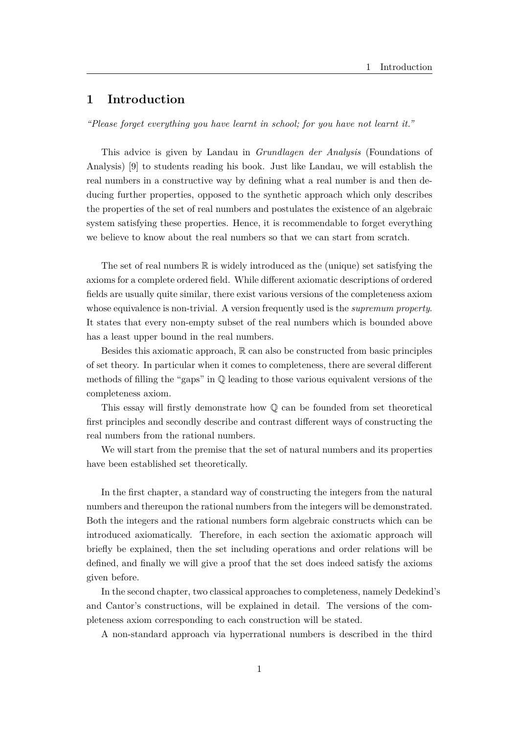## **1 Introduction**

*"Please forget everything you have learnt in school; for you have not learnt it."*

This advice is given by Landau in *Grundlagen der Analysis* (Foundations of Analysis) [9] to students reading his book. Just like Landau, we will establish the real numbers in a constructive way by defining what a real number is and then deducing further properties, opposed to the synthetic approach which only describes the properties of the set of real numbers and postulates the existence of an algebraic system satisfying these properties. Hence, it is recommendable to forget everything we believe to know about the real numbers so that we can start from scratch.

The set of real numbers  $\mathbb R$  is widely introduced as the (unique) set satisfying the axioms for a complete ordered field. While different axiomatic descriptions of ordered fields are usually quite similar, there exist various versions of the completeness axiom whose equivalence is non-trivial. A version frequently used is the *supremum property*. It states that every non-empty subset of the real numbers which is bounded above has a least upper bound in the real numbers.

Besides this axiomatic approach,  $\mathbb R$  can also be constructed from basic principles of set theory. In particular when it comes to completeness, there are several different methods of filling the "gaps" in Q leading to those various equivalent versions of the completeness axiom.

This essay will firstly demonstrate how Q can be founded from set theoretical first principles and secondly describe and contrast different ways of constructing the real numbers from the rational numbers.

We will start from the premise that the set of natural numbers and its properties have been established set theoretically.

In the first chapter, a standard way of constructing the integers from the natural numbers and thereupon the rational numbers from the integers will be demonstrated. Both the integers and the rational numbers form algebraic constructs which can be introduced axiomatically. Therefore, in each section the axiomatic approach will briefly be explained, then the set including operations and order relations will be defined, and finally we will give a proof that the set does indeed satisfy the axioms given before.

In the second chapter, two classical approaches to completeness, namely Dedekind's and Cantor's constructions, will be explained in detail. The versions of the completeness axiom corresponding to each construction will be stated.

A non-standard approach via hyperrational numbers is described in the third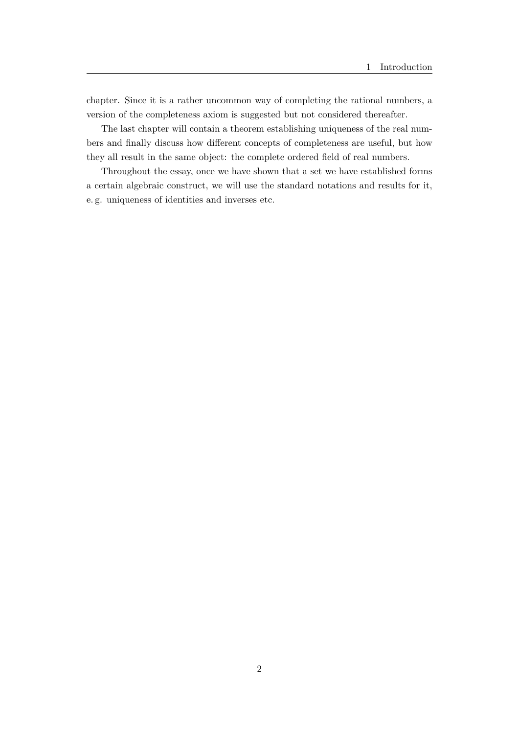chapter. Since it is a rather uncommon way of completing the rational numbers, a version of the completeness axiom is suggested but not considered thereafter.

The last chapter will contain a theorem establishing uniqueness of the real numbers and finally discuss how different concepts of completeness are useful, but how they all result in the same object: the complete ordered field of real numbers.

Throughout the essay, once we have shown that a set we have established forms a certain algebraic construct, we will use the standard notations and results for it, e. g. uniqueness of identities and inverses etc.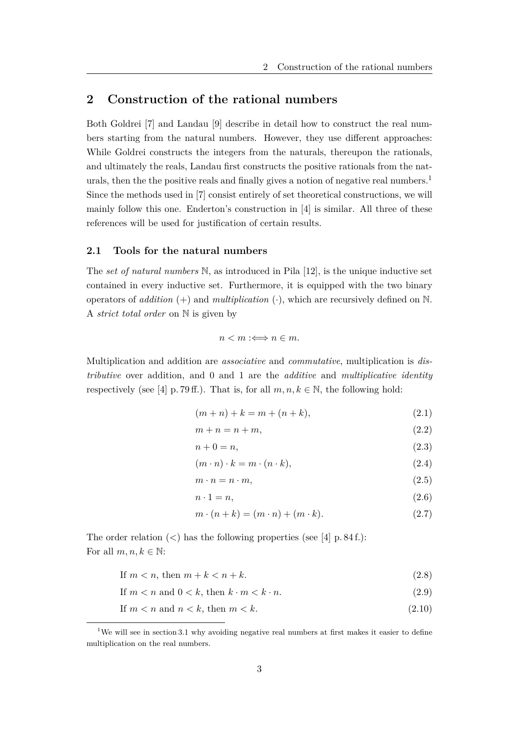## **2 Construction of the rational numbers**

Both Goldrei [7] and Landau [9] describe in detail how to construct the real numbers starting from the natural numbers. However, they use different approaches: While Goldrei constructs the integers from the naturals, thereupon the rationals, and ultimately the reals, Landau first constructs the positive rationals from the naturals, then the the positive reals and finally gives a notion of negative real numbers.<sup>1</sup> Since the methods used in [7] consist entirely of set theoretical constructions, we will mainly follow this one. Enderton's construction in [4] is similar. All three of these references will be used for justification of certain results.

#### **2.1 Tools for the natural numbers**

The *set of natural numbers* N, as introduced in Pila [12], is the unique inductive set contained in every inductive set. Furthermore, it is equipped with the two binary operators of *addition* (+) and *multiplication* (·), which are recursively defined on N. A *strict total order* on N is given by

$$
n < m :\Longleftrightarrow n \in m.
$$

Multiplication and addition are *associative* and *commutative*, multiplication is *distributive* over addition, and 0 and 1 are the *additive* and *multiplicative identity* respectively (see [4] p. 79 ff.). That is, for all  $m, n, k \in \mathbb{N}$ , the following hold:

$$
(m+n) + k = m + (n+k),
$$
\n(2.1)

$$
m + n = n + m,\tag{2.2}
$$

$$
n + 0 = n,\tag{2.3}
$$

$$
(m \cdot n) \cdot k = m \cdot (n \cdot k),\tag{2.4}
$$

$$
m \cdot n = n \cdot m,\tag{2.5}
$$

$$
n \cdot 1 = n,\tag{2.6}
$$

$$
m \cdot (n+k) = (m \cdot n) + (m \cdot k). \tag{2.7}
$$

The order relation  $\langle \rangle$  has the following properties (see [4] p. 84 f.): For all  $m, n, k \in \mathbb{N}$ :

If  $m < n$ , then  $m + k < n + k$ . (2.8)

If 
$$
m < n
$$
 and  $0 < k$ , then  $k \cdot m < k \cdot n$ .  $(2.9)$ 

If  $m < n$  and  $n < k$ , then  $m < k$ . (2.10)

<sup>&</sup>lt;sup>1</sup>We will see in section 3.1 why avoiding negative real numbers at first makes it easier to define multiplication on the real numbers.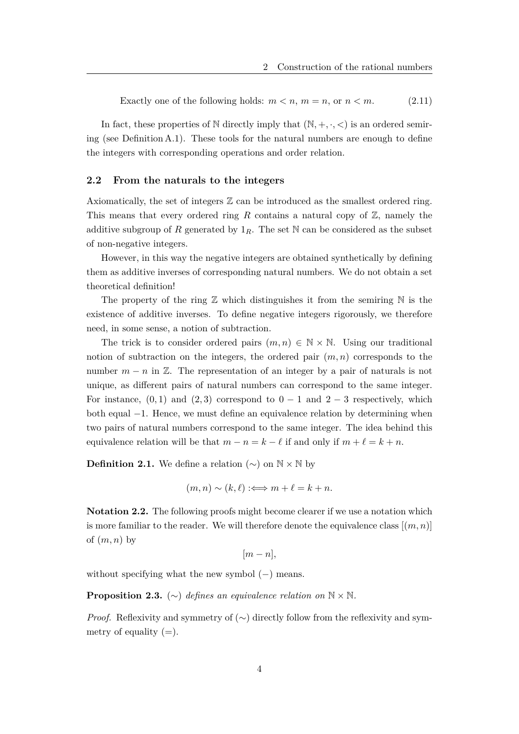Exactly one of the following holds: 
$$
m < n
$$
,  $m = n$ , or  $n < m$ .  $(2.11)$ 

In fact, these properties of  $\mathbb N$  directly imply that  $(\mathbb N, +, \cdot, <)$  is an ordered semiring (see Definition A.1). These tools for the natural numbers are enough to define the integers with corresponding operations and order relation.

#### **2.2 From the naturals to the integers**

Axiomatically, the set of integers  $\mathbb Z$  can be introduced as the smallest ordered ring. This means that every ordered ring  $R$  contains a natural copy of  $\mathbb{Z}$ , namely the additive subgroup of R generated by  $1_R$ . The set N can be considered as the subset of non-negative integers.

However, in this way the negative integers are obtained synthetically by defining them as additive inverses of corresponding natural numbers. We do not obtain a set theoretical definition!

The property of the ring  $\mathbb Z$  which distinguishes it from the semiring  $\mathbb N$  is the existence of additive inverses. To define negative integers rigorously, we therefore need, in some sense, a notion of subtraction.

The trick is to consider ordered pairs  $(m, n) \in \mathbb{N} \times \mathbb{N}$ . Using our traditional notion of subtraction on the integers, the ordered pair (*m, n*) corresponds to the number  $m - n$  in  $\mathbb{Z}$ . The representation of an integer by a pair of naturals is not unique, as different pairs of natural numbers can correspond to the same integer. For instance,  $(0,1)$  and  $(2,3)$  correspond to  $0-1$  and  $2-3$  respectively, which both equal −1. Hence, we must define an equivalence relation by determining when two pairs of natural numbers correspond to the same integer. The idea behind this equivalence relation will be that  $m - n = k - \ell$  if and only if  $m + \ell = k + n$ .

**Definition 2.1.** We define a relation  $(\sim)$  on  $\mathbb{N} \times \mathbb{N}$  by

$$
(m, n) \sim (k, \ell) :\Longleftrightarrow m + \ell = k + n.
$$

**Notation 2.2.** The following proofs might become clearer if we use a notation which is more familiar to the reader. We will therefore denote the equivalence class  $[(m, n)]$ of  $(m, n)$  by

 $[m - n]$ ,

without specifying what the new symbol  $(-)$  means.

**Proposition 2.3.** (∼) *defines an equivalence relation on*  $N \times N$ *.* 

*Proof.* Reflexivity and symmetry of  $(\sim)$  directly follow from the reflexivity and symmetry of equality  $(=)$ .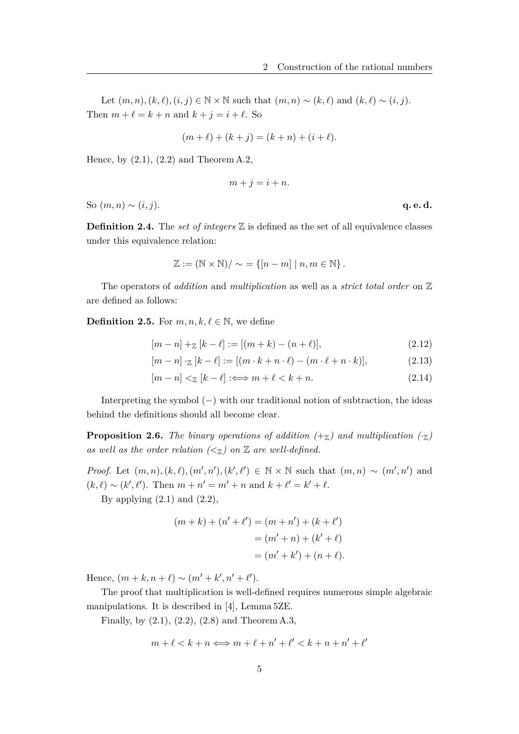Let  $(m, n)$ ,  $(k, \ell)$ ,  $(i, j) \in \mathbb{N} \times \mathbb{N}$  such that  $(m, n) \sim (k, \ell)$  and  $(k, \ell) \sim (i, j)$ . Then  $m + \ell = k + n$  and  $k + j = i + \ell$ . So

$$
(m + \ell) + (k + j) = (k + n) + (i + \ell).
$$

Hence, by  $(2.1)$ ,  $(2.2)$  and Theorem A.2,

$$
m + j = i + n.
$$

So  $(m, n) \sim (i, j)$ . **q. e. d.** 

**Definition 2.4.** The *set of integers*  $\mathbb{Z}$  is defined as the set of all equivalence classes under this equivalence relation:

$$
\mathbb{Z} := (\mathbb{N} \times \mathbb{N}) / \sim = \{ [n-m] \mid n, m \in \mathbb{N} \}.
$$

The operators of *addition* and *multiplication* as well as a *strict total order* on Z are defined as follows:

**Definition 2.5.** For  $m, n, k, \ell \in \mathbb{N}$ , we define

$$
[m-n] +_{\mathbb{Z}} [k-\ell] := [(m+k) - (n+\ell)], \qquad (2.12)
$$

$$
[m-n] \cdot \mathbb{Z} [k-\ell] := [(m \cdot k + n \cdot \ell) - (m \cdot \ell + n \cdot k)], \tag{2.13}
$$

$$
[m-n] <_{\mathbb{Z}} [k-\ell] : \Longleftrightarrow m+\ell < k+n. \tag{2.14}
$$

Interpreting the symbol (−) with our traditional notion of subtraction, the ideas behind the definitions should all become clear.

**Proposition 2.6.** *The binary operations of addition*  $(+z)$  *and multiplication*  $(\cdot z)$ as well as the order relation  $\langle \langle \mathbf{x} \rangle \rangle$  on  $\mathbb{Z}$  are well-defined.

*Proof.* Let  $(m, n), (k, \ell), (m', n'), (k', \ell') \in \mathbb{N} \times \mathbb{N}$  such that  $(m, n) \sim (m', n')$  and  $(k, \ell) \sim (k', \ell')$ . Then  $m + n' = m' + n$  and  $k + \ell' = k' + \ell$ .

By applying  $(2.1)$  and  $(2.2)$ ,

$$
(m+k) + (n' + \ell') = (m+n') + (k + \ell')
$$
  
= (m'+n) + (k'+\ell)  
= (m'+k') + (n+\ell).

Hence,  $(m + k, n + \ell) \sim (m' + k', n' + \ell').$ 

The proof that multiplication is well-defined requires numerous simple algebraic manipulations. It is described in [4], Lemma 5ZE.

Finally, by (2.1), (2.2), (2.8) and Theorem A.3,

$$
m + \ell < k + n \Longleftrightarrow m + \ell + n' + \ell' < k + n + n' + \ell'
$$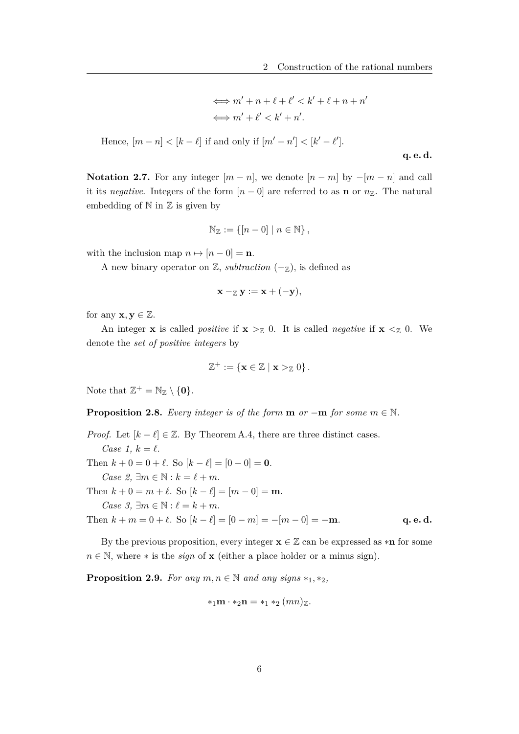$$
\iff m' + n + \ell + \ell' < k' + \ell + n + n'
$$
\n
$$
\iff m' + \ell' < k' + n'.
$$

Hence,  $[m - n] < [k - \ell]$  if and only if  $[m' - n'] < [k' - \ell']$ .

**q. e. d.**

**Notation 2.7.** For any integer  $[m - n]$ , we denote  $[n - m]$  by  $-[m - n]$  and call it its *negative*. Integers of the form  $[n-0]$  are referred to as **n** or  $n_{\mathbb{Z}}$ . The natural embedding of  $\mathbb N$  in  $\mathbb Z$  is given by

$$
\mathbb{N}_{\mathbb{Z}} := \{ [n-0] \mid n \in \mathbb{N} \},
$$

with the inclusion map  $n \mapsto [n-0] = \mathbf{n}$ .

A new binary operator on  $\mathbb{Z}$ , *subtraction*  $(-\mathbb{Z})$ , is defined as

$$
\mathbf{x}-_{\mathbb{Z}}\mathbf{y}:=\mathbf{x}+(-\mathbf{y}),
$$

for any  $\mathbf{x}, \mathbf{y} \in \mathbb{Z}$ .

An integer **x** is called *positive* if  $\mathbf{x} > Z$  0. It is called *negative* if  $\mathbf{x} < Z$  0. We denote the *set of positive integers* by

$$
\mathbb{Z}^+ := \{ \mathbf{x} \in \mathbb{Z} \mid \mathbf{x} >_{\mathbb{Z}} 0 \}.
$$

Note that  $\mathbb{Z}^+ = \mathbb{N}_{\mathbb{Z}} \setminus \{\mathbf{0}\}.$ 

**Proposition 2.8.** *Every integer is of the form* **m**  $or -m$  *for some*  $m \in \mathbb{N}$ *.* 

*Proof.* Let  $[k - \ell] \in \mathbb{Z}$ . By Theorem A.4, there are three distinct cases. *Case 1,*  $k = \ell$ . Then  $k + 0 = 0 + \ell$ . So  $[k - \ell] = [0 - 0] = 0$ . *Case 2,*  $\exists m \in \mathbb{N} : k = \ell + m$ . Then  $k + 0 = m + \ell$ . So  $[k - \ell] = [m - 0] = m$ .  $Case 3, \exists m \in \mathbb{N} : \ell = k + m.$ Then  $k + m = 0 + \ell$ . So  $[k - \ell] = [0 - m] = -[m - 0] = -m$ . **q. e. d.** 

By the previous proposition, every integer  $\mathbf{x} \in \mathbb{Z}$  can be expressed as  $*\mathbf{n}$  for some  $n \in \mathbb{N}$ , where  $*$  is the *sign* of **x** (either a place holder or a minus sign).

**Proposition 2.9.** *For any*  $m, n \in \mathbb{N}$  *and any signs*  $*_1$ ,  $*_2$ *,* 

$$
*_1\mathbf{m} \cdot *_2\mathbf{n} = *_1*_2 (mn)_{\mathbb{Z}}.
$$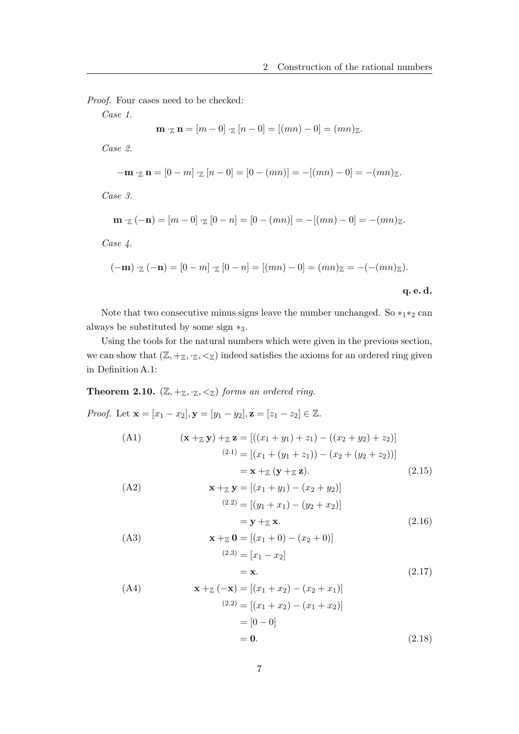*Proof.* Four cases need to be checked:

*Case 1.*

$$
\mathbf{m} \cdot_{\mathbb{Z}} \mathbf{n} = [m-0] \cdot_{\mathbb{Z}} [n-0] = [(mn) - 0] = (mn)_{\mathbb{Z}}.
$$

*Case 2.*

$$
-\mathbf{m} \cdot_{\mathbb{Z}} \mathbf{n} = [0 - m] \cdot_{\mathbb{Z}} [n - 0] = [0 - (mn)] = -[(mn) - 0] = -(mn)_{\mathbb{Z}}.
$$

*Case 3.*

$$
\mathbf{m} \cdot_{\mathbb{Z}} (-\mathbf{n}) = [m-0] \cdot_{\mathbb{Z}} [0-n] = [0-(mn)] = -[(mn)-0] = -(mn)_{\mathbb{Z}}.
$$

*Case 4.*

$$
(-\mathbf{m}) \cdot_{\mathbb{Z}} (-\mathbf{n}) = [0 - m] \cdot_{\mathbb{Z}} [0 - n] = [(mn) - 0] = (mn)_{\mathbb{Z}} = -(- (mn)_{\mathbb{Z}}).
$$

**q. e. d.**

Note that two consecutive minus signs leave the number unchanged. So  $*_1*_2$  can always be substituted by some sign ∗3.

Using the tools for the natural numbers which were given in the previous section, we can show that  $(\mathbb{Z}, +_{\mathbb{Z}}, \cdot_{\mathbb{Z}}, <_{\mathbb{Z}})$  indeed satisfies the axioms for an ordered ring given in Definition A.1:

**Theorem 2.10.**  $(\mathbb{Z}, +_{\mathbb{Z}}, \mathbb{Z}, <_{\mathbb{Z}})$  *forms an ordered ring.* 

*Proof.* Let  $\mathbf{x} = [x_1 - x_2], \mathbf{y} = [y_1 - y_2], \mathbf{z} = [z_1 - z_2] \in \mathbb{Z}$ .

(A1)  
\n
$$
(\mathbf{x} + z \mathbf{y}) + z \mathbf{z} = [((x_1 + y_1) + z_1) - ((x_2 + y_2) + z_2)]
$$
\n
$$
= [(x_1 + (y_1 + z_1)) - (x_2 + (y_2 + z_2))]
$$
\n
$$
= \mathbf{x} + z (\mathbf{y} + z \mathbf{z}). \qquad (2.15)
$$
\n(A2)  
\n
$$
\mathbf{x} + z \mathbf{y} = [(x_1 + y_1) - (x_2 + y_2)]
$$
\n
$$
= [(y_1 + x_1) - (y_2 + x_2)]
$$

$$
= \mathbf{y} + \mathbf{z} \mathbf{x}.\tag{2.16}
$$

(A3)  
\n
$$
\mathbf{x} + z \mathbf{0} = [(x_1 + 0) - (x_2 + 0)]
$$
\n
$$
\begin{aligned}\n(2.3) &= [x_1 - x_2] \\
&= \mathbf{x}.\n\end{aligned}
$$
\n(2.17)

(A4)  
\n
$$
\mathbf{x} + \mathbf{z}(-\mathbf{x}) = [(x_1 + x_2) - (x_2 + x_1)]
$$
\n
$$
\mathbf{x} = [(x_1 + x_2) - (x_1 + x_2)]
$$
\n
$$
= [0 - 0]
$$
\n
$$
= 0. \tag{2.18}
$$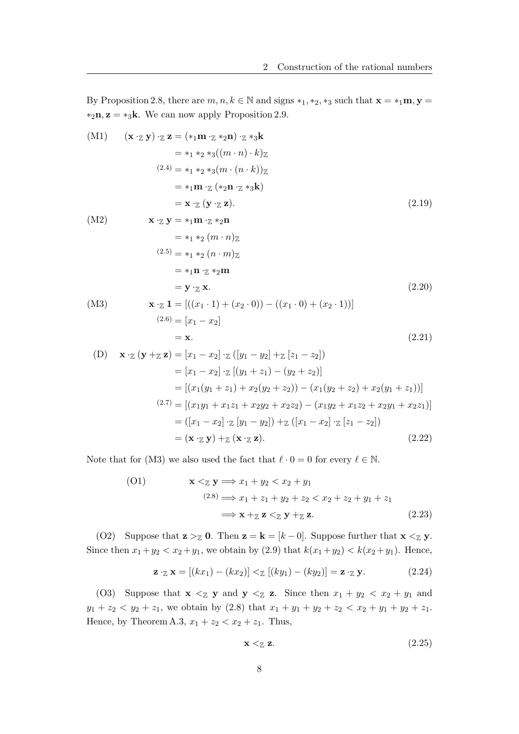By Proposition 2.8, there are  $m, n, k \in \mathbb{N}$  and signs  $*_1$ ,  $*_2$ ,  $*_3$  such that  $\mathbf{x} = *_1\mathbf{m}, \mathbf{y} =$  $*_2$ **n**, **z** =  $*_3$ **k**. We can now apply Proposition 2.9.

(M1) 
$$
(\mathbf{x} \cdot \mathbf{z} \mathbf{y}) \cdot \mathbf{z} \mathbf{z} = (*_{1}\mathbf{m} \cdot \mathbf{z} *_{2}\mathbf{n}) \cdot \mathbf{z} *_{3}\mathbf{k}
$$
  
\t\t\t $= *_{1} *_{2} *_{3}((m \cdot n) \cdot k)_{\mathbf{Z}}$   
\t\t\t $(2.4) = *_{1} *_{2} *_{3}(m \cdot (n \cdot k))_{\mathbf{Z}}$   
\t\t\t $= *_{1}\mathbf{m} \cdot \mathbf{z} (*_{2}\mathbf{n} \cdot \mathbf{z} *_{3}\mathbf{k})$   
\t\t\t $= \mathbf{x} \cdot \mathbf{z} (\mathbf{y} \cdot \mathbf{z} \mathbf{z}).$   
\t\t\t\t $(2.19)$   
\t\t\t\t $\mathbf{x} \cdot \mathbf{z} \mathbf{y} = *_{1}\mathbf{m} \cdot \mathbf{z} *_{2}\mathbf{n}$   
\t\t\t $= *_{1} *_{2} (m \cdot n)_{\mathbf{Z}}$   
\t\t\t\t $(2.5) = *_{1} *_{2} (n \cdot m)_{\mathbf{Z}}$   
\t\t\t\t $= *_{1}\mathbf{n} \cdot \mathbf{z} *_{2}\mathbf{m}$   
\t\t\t $= \mathbf{y} \cdot \mathbf{z} \mathbf{x}.$   
\t\t\t\t $(2.20)$   
\t\t\t\t $\mathbf{x} \cdot \mathbf{z} \mathbf{1} = [((x_{1} \cdot 1) + (x_{2} \cdot 0)) - ((x_{1} \cdot 0) + (x_{2} \cdot 1))]$   
\t\t\t\t $(2.20)$   
\t\t\t\t $= \mathbf{x}.$   
\t\t\t\t $(2.21)$   
\t\t\t\t $= \mathbf{x}.$   
\t\t\t\t $(2.21)$   
\t\t\t\t $= [x_{1} - x_{2}] \cdot \mathbf{z} ([y_{1} - y_{2}] + \mathbf{z} [z_{1} - z_{2}])$   
\t\t\t\t $= [(x_{1}(y_{1} + z_{1}) + x_{2}(y_{2} + z_{2})) - (x_{1}(y_{2} + z_{2}) + x_{2}(y_{1} + z_{1}))]$ 

Note that for (M3) we also used the fact that  $\ell \cdot 0 = 0$  for every  $\ell \in \mathbb{N}$ .

(01) 
$$
\mathbf{x} <_{\mathbb{Z}} \mathbf{y} \Longrightarrow x_1 + y_2 < x_2 + y_1
$$
\n
$$
\Longrightarrow x_1 + z_1 + y_2 + z_2 < x_2 + z_2 + y_1 + z_1
$$
\n
$$
\Longrightarrow \mathbf{x} + \mathbf{z} \mathbf{z} <_{\mathbb{Z}} \mathbf{y} + \mathbf{z} \mathbf{z}.
$$
\n(2.23)

(O2) Suppose that  $\mathbf{z} > Z_0$ . Then  $\mathbf{z} = \mathbf{k} = [k-0]$ . Suppose further that  $\mathbf{x} < Z_y$ . Since then  $x_1 + y_2 < x_2 + y_1$ , we obtain by (2.9) that  $k(x_1 + y_2) < k(x_2 + y_1)$ . Hence,

$$
\mathbf{z} \cdot_{\mathbb{Z}} \mathbf{x} = [(kx_1) - (kx_2)] <_{\mathbb{Z}} [(ky_1) - (ky_2)] = \mathbf{z} \cdot_{\mathbb{Z}} \mathbf{y}.
$$
 (2.24)

(O3) Suppose that  $\mathbf{x} \leq \mathbf{y}$  and  $\mathbf{y} \leq \mathbf{z}$ . Since then  $x_1 + y_2 < x_2 + y_1$  and *y*<sub>1</sub> + *z*<sub>2</sub> < *y*<sub>2</sub> + *z*<sub>1</sub>, we obtain by (2.8) that  $x_1 + y_1 + y_2 + z_2 < x_2 + y_1 + y_2 + z_1$ . Hence, by Theorem A.3,  $x_1 + z_2 < x_2 + z_1$ . Thus,

$$
\mathbf{x} <_{\mathbb{Z}} \mathbf{z}.\tag{2.25}
$$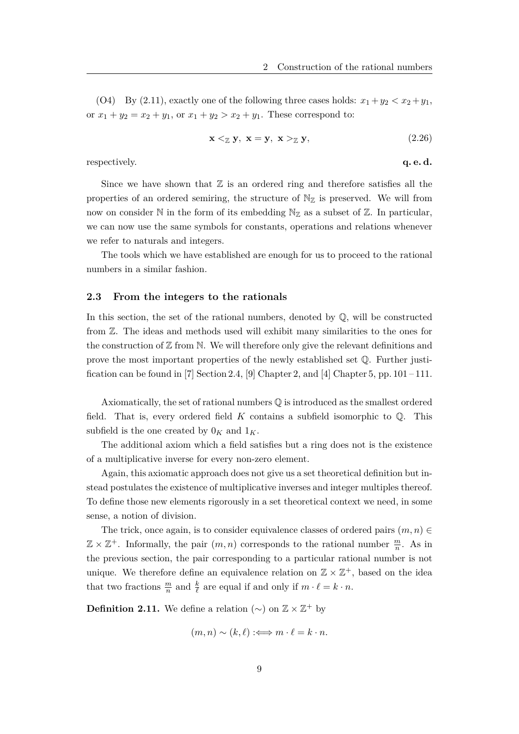(O4) By (2.11), exactly one of the following three cases holds:  $x_1 + y_2 < x_2 + y_1$ , or  $x_1 + y_2 = x_2 + y_1$ , or  $x_1 + y_2 > x_2 + y_1$ . These correspond to:

$$
\mathbf{x} <_{\mathbb{Z}} \mathbf{y}, \ \mathbf{x} = \mathbf{y}, \ \mathbf{x} >_{\mathbb{Z}} \mathbf{y}, \tag{2.26}
$$

respectively. **q. e. d. q. e. d.** 

Since we have shown that  $\mathbb Z$  is an ordered ring and therefore satisfies all the properties of an ordered semiring, the structure of  $\mathbb{N}_{\mathbb{Z}}$  is preserved. We will from now on consider N in the form of its embedding  $N_Z$  as a subset of Z. In particular, we can now use the same symbols for constants, operations and relations whenever we refer to naturals and integers.

The tools which we have established are enough for us to proceed to the rational numbers in a similar fashion.

### **2.3 From the integers to the rationals**

In this section, the set of the rational numbers, denoted by  $\mathbb{Q}$ , will be constructed from Z. The ideas and methods used will exhibit many similarities to the ones for the construction of  $\mathbb Z$  from  $\mathbb N$ . We will therefore only give the relevant definitions and prove the most important properties of the newly established set Q. Further justification can be found in [7] Section 2.4, [9] Chapter 2, and [4] Chapter 5, pp.  $101 - 111$ .

Axiomatically, the set of rational numbers Q is introduced as the smallest ordered field. That is, every ordered field *K* contains a subfield isomorphic to Q. This subfield is the one created by  $0_K$  and  $1_K$ .

The additional axiom which a field satisfies but a ring does not is the existence of a multiplicative inverse for every non-zero element.

Again, this axiomatic approach does not give us a set theoretical definition but instead postulates the existence of multiplicative inverses and integer multiples thereof. To define those new elements rigorously in a set theoretical context we need, in some sense, a notion of division.

The trick, once again, is to consider equivalence classes of ordered pairs  $(m, n) \in$  $\mathbb{Z} \times \mathbb{Z}^+$ . Informally, the pair  $(m, n)$  corresponds to the rational number  $\frac{m}{n}$ . As in the previous section, the pair corresponding to a particular rational number is not unique. We therefore define an equivalence relation on  $\mathbb{Z} \times \mathbb{Z}^+$ , based on the idea that two fractions  $\frac{m}{n}$  and  $\frac{k}{\ell}$  are equal if and only if  $m \cdot \ell = k \cdot n$ .

**Definition 2.11.** We define a relation  $(\sim)$  on  $\mathbb{Z} \times \mathbb{Z}^+$  by

$$
(m, n) \sim (k, \ell) :\iff m \cdot \ell = k \cdot n.
$$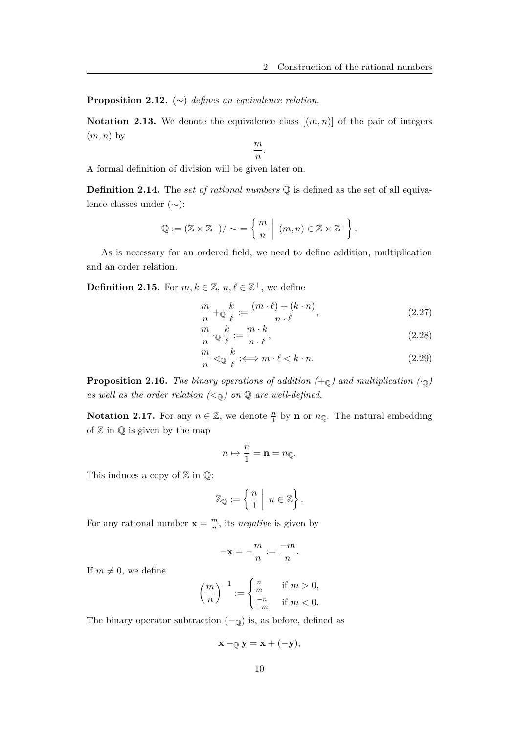**Proposition 2.12.** (∼) *defines an equivalence relation.*

**Notation 2.13.** We denote the equivalence class  $[(m, n)]$  of the pair of integers (*m, n*) by

*m*  $\frac{n}{n}$ .

A formal definition of division will be given later on.

**Definition 2.14.** The *set of rational numbers* Q is defined as the set of all equivalence classes under (∼):

$$
\mathbb{Q} := (\mathbb{Z} \times \mathbb{Z}^+) / \sim = \left\{ \frac{m}{n} \mid (m, n) \in \mathbb{Z} \times \mathbb{Z}^+ \right\}.
$$

As is necessary for an ordered field, we need to define addition, multiplication and an order relation.

**Definition 2.15.** For  $m, k \in \mathbb{Z}$ ,  $n, \ell \in \mathbb{Z}^+$ , we define

$$
\frac{m}{n} + \mathbb{Q}\frac{k}{\ell} := \frac{(m \cdot \ell) + (k \cdot n)}{n \cdot \ell},\tag{2.27}
$$

$$
\frac{m}{n} \cdot \mathbb{Q} \frac{k}{\ell} := \frac{m \cdot k}{n \cdot \ell},\tag{2.28}
$$

$$
\frac{m}{n} < \mathbb{Q} \quad \frac{k}{\ell} \; \colon \Longleftrightarrow m \cdot \ell < k \cdot n. \tag{2.29}
$$

**Proposition 2.16.** *The binary operations of addition*  $(+_{\mathbb{Q}})$  *and multiplication*  $(\cdot_{\mathbb{Q}})$ as well as the order relation  $(<sub>0</sub>)$  on  $Q$  are well-defined.

**Notation 2.17.** For any  $n \in \mathbb{Z}$ , we denote  $\frac{n}{1}$  by **n** or  $n_{\mathbb{Q}}$ . The natural embedding of  $\mathbb Z$  in  $\mathbb Q$  is given by the map

$$
n \mapsto \frac{n}{1} = \mathbf{n} = n_{\mathbb{Q}}.
$$

This induces a copy of  $\mathbb Z$  in  $\mathbb Q$ :

$$
\mathbb{Z}_{\mathbb{Q}} := \left\{ \left. \frac{n}{1} \; \right| \; n \in \mathbb{Z} \right\}.
$$

For any rational number  $\mathbf{x} = \frac{m}{n}$  $\frac{m}{n}$ , its *negative* is given by

$$
-\mathbf{x} = -\frac{m}{n} := \frac{-m}{n}.
$$

If  $m \neq 0$ , we define

$$
\left(\frac{m}{n}\right)^{-1} := \begin{cases} \frac{n}{m} & \text{if } m > 0, \\ \frac{-n}{-m} & \text{if } m < 0. \end{cases}
$$

The binary operator subtraction  $(-<sub>Q</sub>)$  is, as before, defined as

$$
\mathbf{x} -_{\mathbb{Q}} \mathbf{y} = \mathbf{x} + (-\mathbf{y}),
$$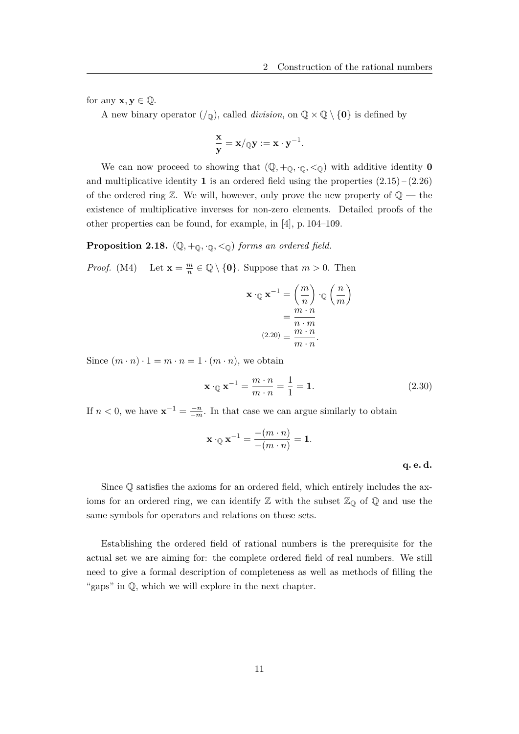for any  $\mathbf{x}, \mathbf{y} \in \mathbb{Q}$ .

A new binary operator  $(\ell_{\mathbb{Q}})$ , called *division*, on  $\mathbb{Q} \times \mathbb{Q} \setminus \{0\}$  is defined by

$$
\frac{\mathbf{x}}{\mathbf{y}} = \mathbf{x}/\mathbf{y} := \mathbf{x} \cdot \mathbf{y}^{-1}.
$$

We can now proceed to showing that  $(\mathbb{Q}, +_{\mathbb{Q}}, \cdot_{\mathbb{Q}}, <_{\mathbb{Q}})$  with additive identity **0** and multiplicative identity **1** is an ordered field using the properties  $(2.15) - (2.26)$ of the ordered ring  $\mathbb{Z}$ . We will, however, only prove the new property of  $\mathbb{Q}$  — the existence of multiplicative inverses for non-zero elements. Detailed proofs of the other properties can be found, for example, in [4], p. 104–109.

**Proposition 2.18.**  $(\mathbb{Q}, +_{\mathbb{Q}}, \cdot_{\mathbb{Q}}, <_{\mathbb{Q}})$  *forms an ordered field.* 

*Proof.* (M4) Let  $\mathbf{x} = \frac{m}{n}$  $\frac{m}{n} \in \mathbb{Q} \setminus \{0\}$ . Suppose that  $m > 0$ . Then

$$
\mathbf{x} \cdot_{\mathbb{Q}} \mathbf{x}^{-1} = \left(\frac{m}{n}\right) \cdot_{\mathbb{Q}} \left(\frac{n}{m}\right)
$$

$$
= \frac{m \cdot n}{n \cdot m}
$$

$$
(2.20) = \frac{m \cdot n}{m \cdot n}.
$$

Since  $(m \cdot n) \cdot 1 = m \cdot n = 1 \cdot (m \cdot n)$ , we obtain

$$
\mathbf{x} \cdot \mathbf{Q} \mathbf{x}^{-1} = \frac{m \cdot n}{m \cdot n} = \frac{1}{1} = \mathbf{1}.\tag{2.30}
$$

If  $n < 0$ , we have  $\mathbf{x}^{-1} = \frac{-n}{n}$  $\frac{-n}{-m}$ . In that case we can argue similarly to obtain

$$
\mathbf{x}\cdot_\mathbb{Q}\mathbf{x}^{-1}=\frac{-(m\cdot n)}{-(m\cdot n)}=\mathbf{1}.
$$

**q. e. d.**

Since Q satisfies the axioms for an ordered field, which entirely includes the axioms for an ordered ring, we can identify  $\mathbb Z$  with the subset  $\mathbb Z_{\mathbb Q}$  of  $\mathbb Q$  and use the same symbols for operators and relations on those sets.

Establishing the ordered field of rational numbers is the prerequisite for the actual set we are aiming for: the complete ordered field of real numbers. We still need to give a formal description of completeness as well as methods of filling the "gaps" in Q, which we will explore in the next chapter.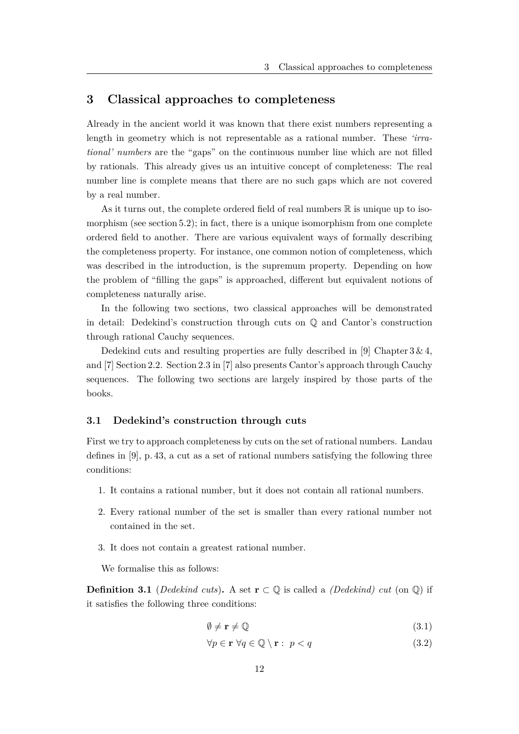## **3 Classical approaches to completeness**

Already in the ancient world it was known that there exist numbers representing a length in geometry which is not representable as a rational number. These *'irrational' numbers* are the "gaps" on the continuous number line which are not filled by rationals. This already gives us an intuitive concept of completeness: The real number line is complete means that there are no such gaps which are not covered by a real number.

As it turns out, the complete ordered field of real numbers  $\mathbb R$  is unique up to isomorphism (see section 5.2); in fact, there is a unique isomorphism from one complete ordered field to another. There are various equivalent ways of formally describing the completeness property. For instance, one common notion of completeness, which was described in the introduction, is the supremum property. Depending on how the problem of "filling the gaps" is approached, different but equivalent notions of completeness naturally arise.

In the following two sections, two classical approaches will be demonstrated in detail: Dedekind's construction through cuts on  $\mathbb Q$  and Cantor's construction through rational Cauchy sequences.

Dedekind cuts and resulting properties are fully described in [9] Chapter  $3 \& 4$ , and [7] Section 2.2. Section 2.3 in [7] also presents Cantor's approach through Cauchy sequences. The following two sections are largely inspired by those parts of the books.

#### **3.1 Dedekind's construction through cuts**

First we try to approach completeness by cuts on the set of rational numbers. Landau defines in [9], p. 43, a cut as a set of rational numbers satisfying the following three conditions:

- 1. It contains a rational number, but it does not contain all rational numbers.
- 2. Every rational number of the set is smaller than every rational number not contained in the set.
- 3. It does not contain a greatest rational number.

We formalise this as follows:

**Definition 3.1** (*Dedekind cuts*). A set **r**  $\subset \mathbb{Q}$  is called a *(Dedekind) cut* (on  $\mathbb{Q}$ ) if it satisfies the following three conditions:

$$
\emptyset \neq r \neq \mathbb{Q} \tag{3.1}
$$

$$
\forall p \in \mathbf{r} \,\,\forall q \in \mathbb{Q} \setminus \mathbf{r}: \, p < q \tag{3.2}
$$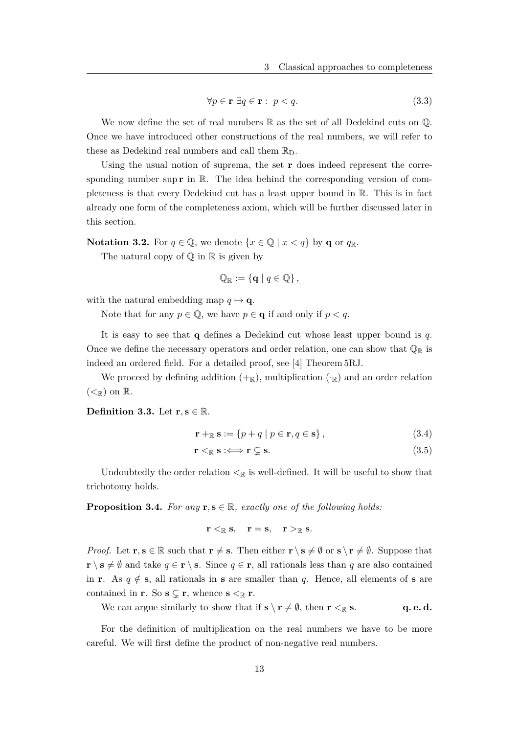$$
\forall p \in \mathbf{r} \; \exists q \in \mathbf{r} : \ p < q. \tag{3.3}
$$

We now define the set of real numbers  $\mathbb R$  as the set of all Dedekind cuts on  $\mathbb Q$ . Once we have introduced other constructions of the real numbers, we will refer to these as Dedekind real numbers and call them  $\mathbb{R}_{\mathcal{D}}$ .

Using the usual notion of suprema, the set **r** does indeed represent the corresponding number sup  $\mathbf{r}$  in  $\mathbb{R}$ . The idea behind the corresponding version of completeness is that every Dedekind cut has a least upper bound in R. This is in fact already one form of the completeness axiom, which will be further discussed later in this section.

**Notation 3.2.** For  $q \in \mathbb{Q}$ , we denote  $\{x \in \mathbb{Q} \mid x < q\}$  by **q** or  $q_{\mathbb{R}}$ .

The natural copy of  $\mathbb Q$  in  $\mathbb R$  is given by

$$
\mathbb{Q}_{\mathbb{R}} := \{ \mathbf{q} \mid q \in \mathbb{Q} \},
$$

with the natural embedding map  $q \mapsto q$ .

Note that for any  $p \in \mathbb{Q}$ , we have  $p \in \mathbf{q}$  if and only if  $p < q$ .

It is easy to see that **q** defines a Dedekind cut whose least upper bound is *q*. Once we define the necessary operators and order relation, one can show that  $\mathbb{Q}_\mathbb{R}$  is indeed an ordered field. For a detailed proof, see [4] Theorem 5RJ.

We proceed by defining addition  $(+\mathbb{R})$ , multiplication  $(\cdot_{\mathbb{R}})$  and an order relation  $( $\infty$  on R.$ 

**Definition 3.3.** Let  $\mathbf{r}, \mathbf{s} \in \mathbb{R}$ .

$$
\mathbf{r} +_{\mathbb{R}} \mathbf{s} := \{ p + q \mid p \in \mathbf{r}, q \in \mathbf{s} \},\tag{3.4}
$$

$$
\mathbf{r} <_{\mathbb{R}} \mathbf{s} \colon \Longleftrightarrow \mathbf{r} \subsetneq \mathbf{s}.\tag{3.5}
$$

Undoubtedly the order relation  $\leq_{\mathbb{R}}$  is well-defined. It will be useful to show that trichotomy holds.

**Proposition 3.4.** For any  $\mathbf{r}, \mathbf{s} \in \mathbb{R}$ , exactly one of the following holds:

 $\mathbf{r} \leq \mathbb{R} \mathbf{s}, \quad \mathbf{r} = \mathbf{s}, \quad \mathbf{r} \geq \mathbb{R} \mathbf{s}.$ 

*Proof.* Let  $\mathbf{r}, \mathbf{s} \in \mathbb{R}$  such that  $\mathbf{r} \neq \mathbf{s}$ . Then either  $\mathbf{r} \setminus \mathbf{s} \neq \emptyset$  or  $\mathbf{s} \setminus \mathbf{r} \neq \emptyset$ . Suppose that **r**  $\setminus$  **s** ≠ ∅ and take  $q \in$  **r**  $\setminus$  **s**. Since  $q \in$  **r**, all rationals less than *q* are also contained in **r**. As  $q \notin \mathbf{s}$ , all rationals in **s** are smaller than *q*. Hence, all elements of **s** are contained in **r**. So  $\mathbf{s} \subsetneq \mathbf{r}$ , whence  $\mathbf{s} <_{\mathbb{R}} \mathbf{r}$ .

We can argue similarly to show that if  $\mathbf{s} \setminus \mathbf{r} \neq \emptyset$ , then  $\mathbf{r} <_{\mathbb{R}} \mathbf{s}$ . **q. e. d.** 

For the definition of multiplication on the real numbers we have to be more careful. We will first define the product of non-negative real numbers.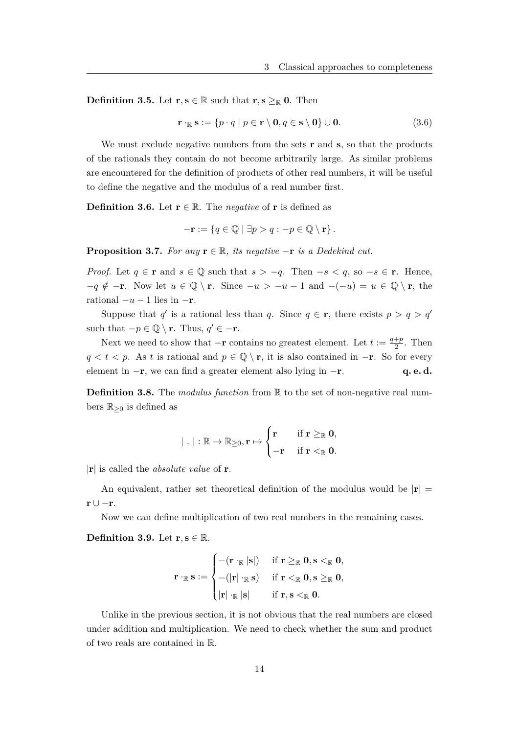**Definition 3.5.** Let **r***,* **s**  $\in \mathbb{R}$  such that **r***,* **s**  $\geq_{\mathbb{R}}$  **0**. Then

$$
\mathbf{r} \cdot_{\mathbb{R}} \mathbf{s} := \{ p \cdot q \mid p \in \mathbf{r} \setminus \mathbf{0}, q \in \mathbf{s} \setminus \mathbf{0} \} \cup \mathbf{0}.
$$
 (3.6)

We must exclude negative numbers from the sets **r** and **s**, so that the products of the rationals they contain do not become arbitrarily large. As similar problems are encountered for the definition of products of other real numbers, it will be useful to define the negative and the modulus of a real number first.

**Definition 3.6.** Let  $\mathbf{r} \in \mathbb{R}$ . The *negative* of **r** is defined as

$$
-\mathbf{r} := \{q \in \mathbb{Q} \mid \exists p > q : -p \in \mathbb{Q} \setminus \mathbf{r}\}.
$$

**Proposition 3.7.** *For any*  $\mathbf{r} \in \mathbb{R}$ *, its negative*  $-\mathbf{r}$  *is a Dedekind cut.* 

*Proof.* Let  $q \in \mathbf{r}$  and  $s \in \mathbb{Q}$  such that  $s > -q$ . Then  $-s < q$ , so  $-s \in \mathbf{r}$ . Hence,  $-q \notin -\mathbf{r}$ . Now let  $u \in \mathbb{Q} \setminus \mathbf{r}$ . Since  $-u > -u - 1$  and  $-(-u) = u \in \mathbb{Q} \setminus \mathbf{r}$ , the rational  $-u-1$  lies in  $-\mathbf{r}$ .

Suppose that *q*<sup>'</sup> is a rational less than *q*. Since  $q \in \mathbf{r}$ , there exists  $p > q > q'$ such that  $-p \in \mathbb{Q} \setminus \mathbf{r}$ . Thus,  $q' \in -\mathbf{r}$ .

Next we need to show that  $-\mathbf{r}$  contains no greatest element. Let  $t := \frac{q+p}{2}$  $rac{+p}{2}$ . Then  $q < t < p$ . As *t* is rational and  $p \in \mathbb{Q} \setminus \mathbf{r}$ , it is also contained in  $-\mathbf{r}$ . So for every element in −**r**, we can find a greater element also lying in −**r**. **q. e. d.**

**Definition 3.8.** The *modulus function* from R to the set of non-negative real numbers  $\mathbb{R}_{\geq 0}$  is defined as

$$
|\ .\ |:\mathbb{R}\rightarrow\mathbb{R}_{\geq0},\mathbf{r}\mapsto\begin{cases}\mathbf{r}\quad &\text{if $\mathbf{r}\geq_{\mathbb{R}}$}\mathbf{0},\\-\mathbf{r}\quad &\text{if $\mathbf{r}<_{\mathbb{R}}$}\mathbf{0}.\end{cases}
$$

|**r**| is called the *absolute value* of **r**.

An equivalent, rather set theoretical definition of the modulus would be  $|\mathbf{r}| =$ **r** ∪ −**r**.

Now we can define multiplication of two real numbers in the remaining cases.

**Definition 3.9.** Let  $\mathbf{r}, \mathbf{s} \in \mathbb{R}$ .

$$
\mathbf{r} \cdot_{\mathbb{R}} \mathbf{s} := \begin{cases} - ( \mathbf{r} \cdot_{\mathbb{R}} | \mathbf{s} | ) & \text{if } \mathbf{r} \geq_{\mathbb{R}} \mathbf{0}, \mathbf{s} <_{\mathbb{R}} \mathbf{0}, \\ - ( | \mathbf{r} | \cdot_{\mathbb{R}} \mathbf{s} ) & \text{if } \mathbf{r} <_{\mathbb{R}} \mathbf{0}, \mathbf{s} \geq_{\mathbb{R}} \mathbf{0}, \\ | \mathbf{r} | \cdot_{\mathbb{R}} | \mathbf{s} | & \text{if } \mathbf{r}, \mathbf{s} <_{\mathbb{R}} \mathbf{0}. \end{cases}
$$

Unlike in the previous section, it is not obvious that the real numbers are closed under addition and multiplication. We need to check whether the sum and product of two reals are contained in R.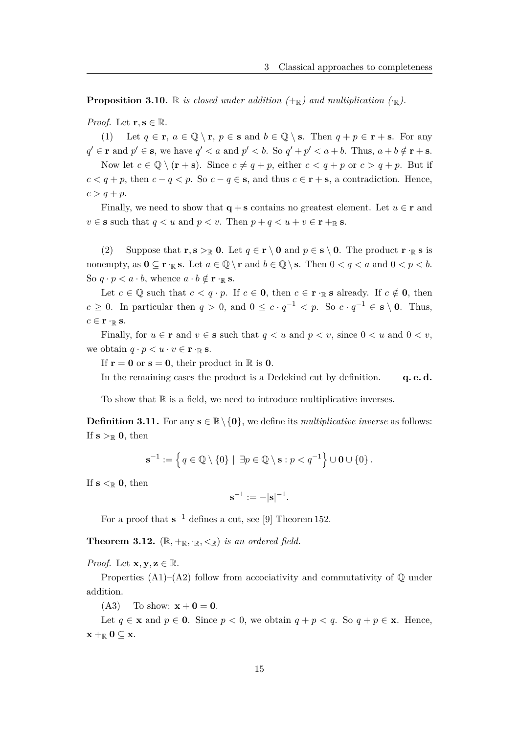**Proposition 3.10.** R *is closed under addition*  $(+_{\mathbb{R}})$  *and multiplication*  $(\cdot_{\mathbb{R}})$ *.* 

*Proof.* Let  $\mathbf{r}, \mathbf{s} \in \mathbb{R}$ .

(1) Let  $q \in \mathbf{r}$ ,  $a \in \mathbb{Q} \setminus \mathbf{r}$ ,  $p \in \mathbf{s}$  and  $b \in \mathbb{Q} \setminus \mathbf{s}$ . Then  $q + p \in \mathbf{r} + \mathbf{s}$ . For any  $q' \in \mathbf{r}$  and  $p' \in \mathbf{s}$ , we have  $q' < a$  and  $p' < b$ . So  $q' + p' < a + b$ . Thus,  $a + b \notin \mathbf{r} + \mathbf{s}$ . Now let  $c \in \mathbb{Q} \setminus (\mathbf{r} + \mathbf{s})$ . Since  $c \neq q + p$ , either  $c < q + p$  or  $c > q + p$ . But if *c*  $\leq$  *q* + *p*, then *c* − *q*  $\leq$  *p*. So *c* − *q*  $\in$  **s**, and thus *c* ∈ **r** + **s**, a contradiction. Hence,  $c > q + p$ .

Finally, we need to show that  $q + s$  contains no greatest element. Let  $u \in r$  and  $v \in \mathbf{s}$  such that  $q < u$  and  $p < v$ . Then  $p + q < u + v \in \mathbf{r} + \mathbf{r}$  s.

(2) Suppose that  $\mathbf{r}, \mathbf{s} >_{\mathbb{R}} \mathbf{0}$ . Let  $q \in \mathbf{r} \setminus \mathbf{0}$  and  $p \in \mathbf{s} \setminus \mathbf{0}$ . The product  $\mathbf{r} \cdot_{\mathbb{R}} \mathbf{s}$  is nonempty, as  $0 \subseteq \mathbf{r} \cdot \mathbb{R}$  **s**. Let  $a \in \mathbb{Q} \setminus \mathbf{r}$  and  $b \in \mathbb{Q} \setminus \mathbf{s}$ . Then  $0 < q < a$  and  $0 < p < b$ . So  $q \cdot p < a \cdot b$ , whence  $a \cdot b \notin \mathbf{r} \cdot \mathbb{R}$  s.

Let  $c \in \mathbb{Q}$  such that  $c < q \cdot p$ . If  $c \in \mathbf{0}$ , then  $c \in \mathbf{r} \cdot \mathbb{R}$  is already. If  $c \notin \mathbf{0}$ , then  $c \geq 0$ . In particular then  $q > 0$ , and  $0 \leq c \cdot q^{-1} < p$ . So  $c \cdot q^{-1} \in \mathbf{s} \setminus \mathbf{0}$ . Thus,  $c \in \mathbf{r} \cdot \mathbb{R} \mathbf{s}$ .

Finally, for  $u \in \mathbf{r}$  and  $v \in \mathbf{s}$  such that  $q < u$  and  $p < v$ , since  $0 < u$  and  $0 < v$ , we obtain  $q \cdot p \leq u \cdot v \in \mathbf{r} \cdot \mathbf{R}$  s.

If  $\mathbf{r} = \mathbf{0}$  or  $\mathbf{s} = \mathbf{0}$ , their product in  $\mathbb{R}$  is  $\mathbf{0}$ .

In the remaining cases the product is a Dedekind cut by definition. **q. e. d.** 

To show that  $\mathbb R$  is a field, we need to introduce multiplicative inverses.

**Definition 3.11.** For any  $\mathbf{s} \in \mathbb{R} \setminus \{\mathbf{0}\}\)$ , we define its *multiplicative inverse* as follows: If  $s >_{\mathbb{R}} 0$ , then

$$
\mathbf{s}^{-1} := \left\{ q \in \mathbb{Q} \setminus \{0\} \mid \exists p \in \mathbb{Q} \setminus \mathbf{s} : p < q^{-1} \right\} \cup \mathbf{0} \cup \{0\} .
$$

If  $s <_{\mathbb{R}} 0$ , then

$$
\mathbf{s}^{-1} := -|\mathbf{s}|^{-1}.
$$

For a proof that  $s^{-1}$  defines a cut, see [9] Theorem 152.

**Theorem 3.12.**  $(\mathbb{R}, +_{\mathbb{R}}, \cdot_{\mathbb{R}}, \leq_{\mathbb{R}})$  *is an ordered field.* 

*Proof.* Let  $\mathbf{x}, \mathbf{y}, \mathbf{z} \in \mathbb{R}$ .

Properties  $(A1)$ – $(A2)$  follow from accociativity and commutativity of  $\mathbb{Q}$  under addition.

(A3) To show:  $x + 0 = 0$ .

Let  $q \in \mathbf{x}$  and  $p \in \mathbf{0}$ . Since  $p < 0$ , we obtain  $q + p < q$ . So  $q + p \in \mathbf{x}$ . Hence,  $\mathbf{x} + \mathbf{R} \mathbf{0} \subseteq \mathbf{x}$ .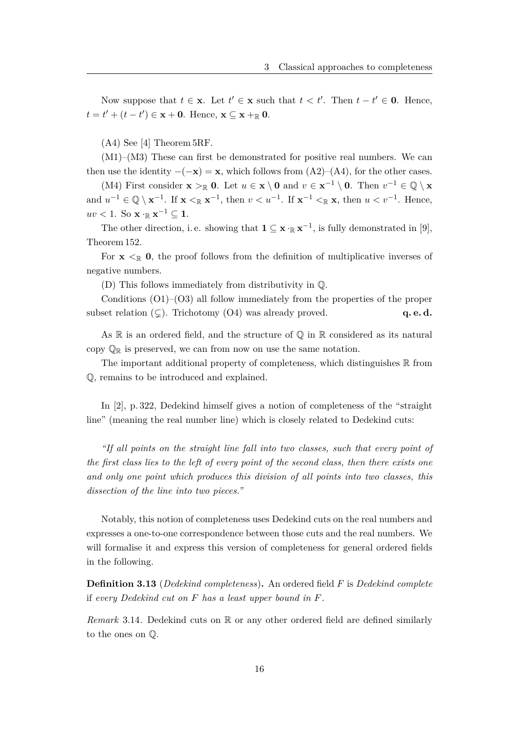Now suppose that  $t \in \mathbf{x}$ . Let  $t' \in \mathbf{x}$  such that  $t < t'$ . Then  $t - t' \in \mathbf{0}$ . Hence,  $t = t' + (t - t') \in \mathbf{x} + \mathbf{0}$ . Hence,  $\mathbf{x} \subseteq \mathbf{x} + \mathbf{R} \mathbf{0}$ .

(A4) See [4] Theorem 5RF.

(M1)–(M3) These can first be demonstrated for positive real numbers. We can then use the identity  $-(-\mathbf{x}) = \mathbf{x}$ , which follows from  $(A2)$ – $(A4)$ , for the other cases.

(M4) First consider  $\mathbf{x} >_{\mathbb{R}} \mathbf{0}$ . Let  $u \in \mathbf{x} \setminus \mathbf{0}$  and  $v \in \mathbf{x}^{-1} \setminus \mathbf{0}$ . Then  $v^{-1} \in \mathbb{Q} \setminus \mathbf{x}$ and  $u^{-1} \in \mathbb{Q} \setminus \mathbf{x}^{-1}$ . If  $\mathbf{x} \leq_{\mathbb{R}} \mathbf{x}^{-1}$ , then  $v \leq u^{-1}$ . If  $\mathbf{x}^{-1} \leq_{\mathbb{R}} \mathbf{x}$ , then  $u \leq v^{-1}$ . Hence,  $uv < 1$ . So  $\mathbf{x} \cdot_{\mathbb{R}} \mathbf{x}^{-1} \subseteq 1$ .

The other direction, i.e. showing that  $\mathbf{1} \subseteq \mathbf{x} \cdot_R \mathbf{x}^{-1}$ , is fully demonstrated in [9], Theorem 152.

For  $\mathbf{x} \leq \mathbb{R}$  0, the proof follows from the definition of multiplicative inverses of negative numbers.

(D) This follows immediately from distributivity in Q.

Conditions  $(01)$ – $(03)$  all follow immediately from the properties of the proper subset relation  $(\subsetneq)$ . Trichotomy  $(O4)$  was already proved. **q. e. d.** 

As  $\mathbb R$  is an ordered field, and the structure of  $\mathbb Q$  in  $\mathbb R$  considered as its natural copy  $\mathbb{Q}_{\mathbb{R}}$  is preserved, we can from now on use the same notation.

The important additional property of completeness, which distinguishes  $\mathbb R$  from Q, remains to be introduced and explained.

In [2], p. 322, Dedekind himself gives a notion of completeness of the "straight line" (meaning the real number line) which is closely related to Dedekind cuts:

*"If all points on the straight line fall into two classes, such that every point of the first class lies to the left of every point of the second class, then there exists one and only one point which produces this division of all points into two classes, this dissection of the line into two pieces."*

Notably, this notion of completeness uses Dedekind cuts on the real numbers and expresses a one-to-one correspondence between those cuts and the real numbers. We will formalise it and express this version of completeness for general ordered fields in the following.

**Definition 3.13** (*Dedekind completeness*)**.** An ordered field *F* is *Dedekind complete* if *every Dedekind cut on F has a least upper bound in F.*

*Remark* 3.14. Dedekind cuts on  $\mathbb R$  or any other ordered field are defined similarly to the ones on Q.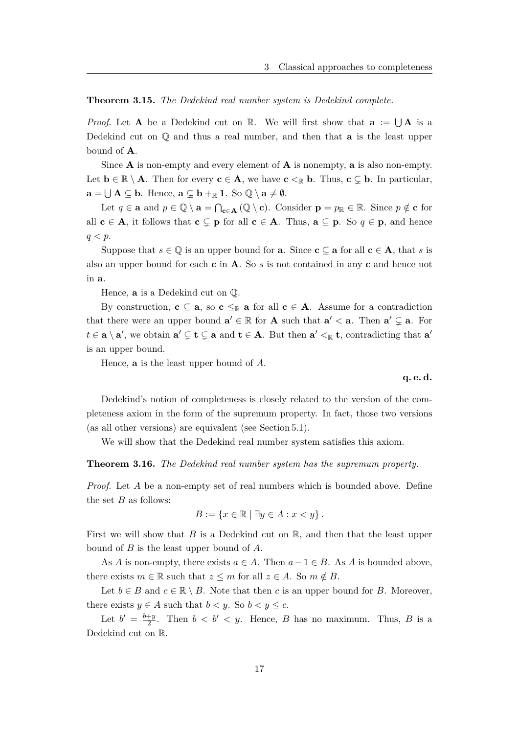## **Theorem 3.15.** *The Dedekind real number system is Dedekind complete.*

*Proof.* Let **A** be a Dedekind cut on R. We will first show that  $\mathbf{a} := \bigcup \mathbf{A}$  is a Dedekind cut on Q and thus a real number, and then that **a** is the least upper bound of **A**.

Since **A** is non-empty and every element of **A** is nonempty, **a** is also non-empty. Let  $\mathbf{b} \in \mathbb{R} \setminus \mathbf{A}$ . Then for every  $\mathbf{c} \in \mathbf{A}$ , we have  $\mathbf{c} \leq_{\mathbb{R}} \mathbf{b}$ . Thus,  $\mathbf{c} \subsetneq \mathbf{b}$ . In particular,  $\mathbf{a} = \bigcup \mathbf{A} \subseteq \mathbf{b}$ . Hence,  $\mathbf{a} \subsetneq \mathbf{b} +_{\mathbb{R}} \mathbf{1}$ . So  $\mathbb{Q} \setminus \mathbf{a} \neq \emptyset$ .

Let  $q \in \mathbf{a}$  and  $p \in \mathbb{Q} \setminus \mathbf{a} = \bigcap_{\mathbf{c} \in \mathbf{A}} (\mathbb{Q} \setminus \mathbf{c})$ . Consider  $\mathbf{p} = p_{\mathbb{R}} \in \mathbb{R}$ . Since  $p \notin \mathbf{c}$  for all  $c \in A$ , it follows that  $c \subsetneq p$  for all  $c \in A$ . Thus,  $a \subseteq p$ . So  $q \in p$ , and hence *q < p*.

Suppose that  $s \in \mathbb{Q}$  is an upper bound for **a**. Since **c**  $\subseteq$  **a** for all **c**  $\in$  **A**, that *s* is also an upper bound for each **c** in **A**. So *s* is not contained in any **c** and hence not in **a**.

Hence, **a** is a Dedekind cut on Q.

By construction,  $\mathbf{c} \subseteq \mathbf{a}$ , so  $\mathbf{c} \leq_{\mathbb{R}} \mathbf{a}$  for all  $\mathbf{c} \in \mathbf{A}$ . Assume for a contradiction that there were an upper bound  $\mathbf{a}' \in \mathbb{R}$  for **A** such that  $\mathbf{a}' < \mathbf{a}$ . Then  $\mathbf{a}' \subsetneq \mathbf{a}$ . For  $t \in \mathbf{a} \setminus \mathbf{a}'$ , we obtain  $\mathbf{a}' \subsetneq \mathbf{t} \subsetneq \mathbf{a}$  and  $\mathbf{t} \in \mathbf{A}$ . But then  $\mathbf{a}' \leq_{\mathbb{R}} \mathbf{t}$ , contradicting that  $\mathbf{a}'$ is an upper bound.

Hence, **a** is the least upper bound of *A*.

**q. e. d.**

Dedekind's notion of completeness is closely related to the version of the completeness axiom in the form of the supremum property. In fact, those two versions (as all other versions) are equivalent (see Section 5.1).

We will show that the Dedekind real number system satisfies this axiom.

**Theorem 3.16.** *The Dedekind real number system has the supremum property.*

*Proof.* Let *A* be a non-empty set of real numbers which is bounded above. Define the set  $B$  as follows:

$$
B := \{ x \in \mathbb{R} \mid \exists y \in A : x < y \} \, .
$$

First we will show that *B* is a Dedekind cut on R, and then that the least upper bound of *B* is the least upper bound of *A*.

As *A* is non-empty, there exists  $a \in A$ . Then  $a - 1 \in B$ . As *A* is bounded above, there exists  $m \in \mathbb{R}$  such that  $z \leq m$  for all  $z \in A$ . So  $m \notin B$ .

Let  $b \in B$  and  $c \in \mathbb{R} \setminus B$ . Note that then *c* is an upper bound for *B*. Moreover, there exists  $y \in A$  such that  $b < y$ . So  $b < y \leq c$ .

Let  $b' = \frac{b+y}{2}$  $\frac{1+y}{2}$ . Then  $b < b' < y$ . Hence, *B* has no maximum. Thus, *B* is a Dedekind cut on R.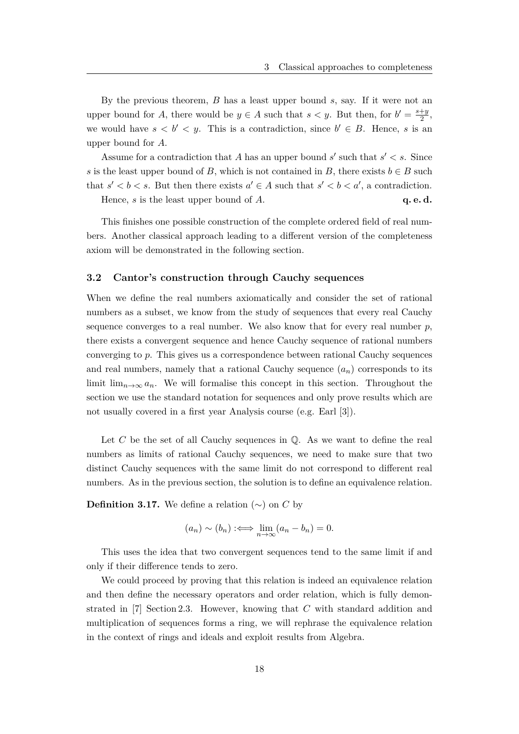By the previous theorem, *B* has a least upper bound *s*, say. If it were not an upper bound for *A*, there would be  $y \in A$  such that  $s < y$ . But then, for  $b' = \frac{s+y}{2}$  $\frac{+y}{2}$ , we would have  $s < b' < y$ . This is a contradiction, since  $b' \in B$ . Hence, *s* is an upper bound for *A*.

Assume for a contradiction that *A* has an upper bound  $s'$  such that  $s' < s$ . Since *s* is the least upper bound of *B*, which is not contained in *B*, there exists  $b \in B$  such that  $s' < b < s$ . But then there exists  $a' \in A$  such that  $s' < b < a'$ , a contradiction.

Hence, *s* is the least upper bound of *A*. **q. e. d.** 

This finishes one possible construction of the complete ordered field of real numbers. Another classical approach leading to a different version of the completeness axiom will be demonstrated in the following section.

### **3.2 Cantor's construction through Cauchy sequences**

When we define the real numbers axiomatically and consider the set of rational numbers as a subset, we know from the study of sequences that every real Cauchy sequence converges to a real number. We also know that for every real number  $p$ , there exists a convergent sequence and hence Cauchy sequence of rational numbers converging to *p*. This gives us a correspondence between rational Cauchy sequences and real numbers, namely that a rational Cauchy sequence  $(a_n)$  corresponds to its limit  $\lim_{n\to\infty} a_n$ . We will formalise this concept in this section. Throughout the section we use the standard notation for sequences and only prove results which are not usually covered in a first year Analysis course (e.g. Earl [3]).

Let *C* be the set of all Cauchy sequences in  $\mathbb Q$ . As we want to define the real numbers as limits of rational Cauchy sequences, we need to make sure that two distinct Cauchy sequences with the same limit do not correspond to different real numbers. As in the previous section, the solution is to define an equivalence relation.

**Definition 3.17.** We define a relation  $(\sim)$  on *C* by

$$
(a_n) \sim (b_n) :\iff \lim_{n \to \infty} (a_n - b_n) = 0.
$$

This uses the idea that two convergent sequences tend to the same limit if and only if their difference tends to zero.

We could proceed by proving that this relation is indeed an equivalence relation and then define the necessary operators and order relation, which is fully demonstrated in [7] Section 2.3. However, knowing that *C* with standard addition and multiplication of sequences forms a ring, we will rephrase the equivalence relation in the context of rings and ideals and exploit results from Algebra.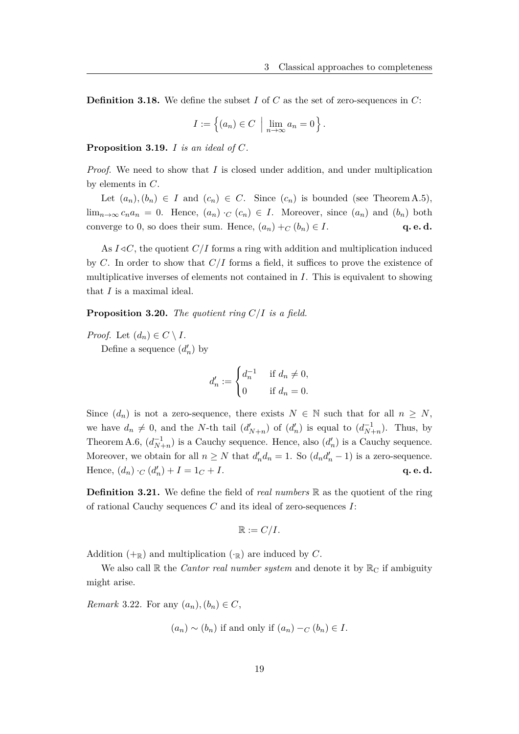**Definition 3.18.** We define the subset *I* of *C* as the set of zero-sequences in *C*:

$$
I := \left\{ (a_n) \in C \: \middle| \: \lim_{n \to \infty} a_n = 0 \right\}.
$$

**Proposition 3.19.** *I is an ideal of C.*

*Proof.* We need to show that *I* is closed under addition, and under multiplication by elements in *C*.

Let  $(a_n), (b_n) \in I$  and  $(c_n) \in C$ . Since  $(c_n)$  is bounded (see Theorem A.5), lim<sub>n→∞</sub>  $c_n a_n = 0$ . Hence,  $(a_n) \cdot_C (c_n) \in I$ . Moreover, since  $(a_n)$  and  $(b_n)$  both converge to 0, so does their sum. Hence,  $(a_n) + C(b_n) \in I$ . **q. e. d.** 

As  $I \triangleleft C$ , the quotient  $C/I$  forms a ring with addition and multiplication induced by *C*. In order to show that *C/I* forms a field, it suffices to prove the existence of multiplicative inverses of elements not contained in *I*. This is equivalent to showing that *I* is a maximal ideal.

**Proposition 3.20.** *The quotient ring C/I is a field.*

*Proof.* Let  $(d_n) \in C \setminus I$ .

Define a sequence  $(d'_n)$  by

$$
d'_n := \begin{cases} d_n^{-1} & \text{if } d_n \neq 0, \\ 0 & \text{if } d_n = 0. \end{cases}
$$

Since  $(d_n)$  is not a zero-sequence, there exists  $N \in \mathbb{N}$  such that for all  $n \geq N$ , we have  $d_n \neq 0$ , and the *N*-th tail  $(d'_{N+n})$  of  $(d'_n)$  is equal to  $(d_{N+n}^{-1})$ . Thus, by Theorem A.6,  $(d_{N+n}^{-1})$  is a Cauchy sequence. Hence, also  $(d'_{n})$  is a Cauchy sequence. Moreover, we obtain for all  $n \geq N$  that  $d'_n d_n = 1$ . So  $(d_n d'_n - 1)$  is a zero-sequence. Hence,  $(d_n) \cdot_C (d'_n) + I = 1_C + I.$  **q. e. d.** 

**Definition 3.21.** We define the field of *real numbers* R as the quotient of the ring of rational Cauchy sequences *C* and its ideal of zero-sequences *I*:

$$
\mathbb{R}:=C/I.
$$

Addition  $(+_{\mathbb{R}})$  and multiplication  $(\cdot_{\mathbb{R}})$  are induced by *C*.

We also call  $\mathbb R$  the *Cantor real number system* and denote it by  $\mathbb R_{\mathbb C}$  if ambiguity might arise.

*Remark* 3.22*.* For any  $(a_n)$ ,  $(b_n) \in C$ ,

$$
(a_n) \sim (b_n)
$$
 if and only if  $(a_n) -_C (b_n) \in I$ .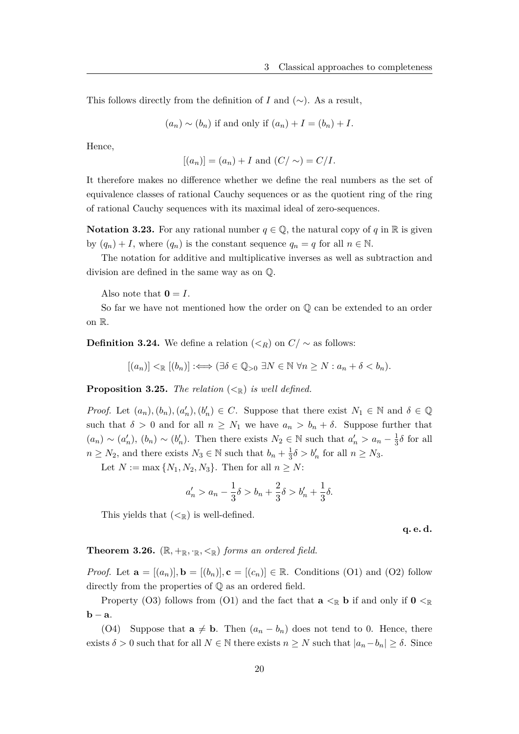This follows directly from the definition of *I* and  $(\sim)$ . As a result,

$$
(a_n) \sim (b_n)
$$
 if and only if  $(a_n) + I = (b_n) + I$ .

Hence,

$$
[(a_n)] = (a_n) + I
$$
 and  $(C/\sim) = C/I$ .

It therefore makes no difference whether we define the real numbers as the set of equivalence classes of rational Cauchy sequences or as the quotient ring of the ring of rational Cauchy sequences with its maximal ideal of zero-sequences.

**Notation 3.23.** For any rational number  $q \in \mathbb{Q}$ , the natural copy of *q* in R is given by  $(q_n) + I$ , where  $(q_n)$  is the constant sequence  $q_n = q$  for all  $n \in \mathbb{N}$ .

The notation for additive and multiplicative inverses as well as subtraction and division are defined in the same way as on Q.

Also note that  $\mathbf{0} = I$ .

So far we have not mentioned how the order on Q can be extended to an order on R.

**Definition 3.24.** We define a relation  $\left(\leq_R\right)$  on  $C/\sim$  as follows:

$$
[(a_n)] <_{\mathbb{R}} [(b_n)] :\Longleftrightarrow (\exists \delta \in \mathbb{Q}_{>0} \exists N \in \mathbb{N} \,\forall n \ge N : a_n + \delta < b_n).
$$

**Proposition 3.25.** *The relation*  $( $\leq_R$ )$  *is well defined.* 

*Proof.* Let  $(a_n)$ ,  $(b_n)$ ,  $(a'_n)$ ,  $(b'_n) \in C$ . Suppose that there exist  $N_1 \in \mathbb{N}$  and  $\delta \in \mathbb{Q}$ such that  $\delta > 0$  and for all  $n \geq N_1$  we have  $a_n > b_n + \delta$ . Suppose further that  $(a_n) \sim (a'_n), (b_n) \sim (b'_n)$ . Then there exists  $N_2 \in \mathbb{N}$  such that  $a'_n > a_n - \frac{1}{3}$  $\frac{1}{3}\delta$  for all  $n \geq N_2$ , and there exists  $N_3 \in \mathbb{N}$  such that  $b_n + \frac{1}{3}$  $\frac{1}{3}\delta > b'_n$  for all  $n \geq N_3$ .

Let  $N := \max \{N_1, N_2, N_3\}$ . Then for all  $n \geq N$ :

$$
a'_n > a_n - \frac{1}{3}\delta > b_n + \frac{2}{3}\delta > b'_n + \frac{1}{3}\delta.
$$

This yields that  $( $\mathbb{R}$ )$  is well-defined.

**q. e. d.**

**Theorem 3.26.**  $(\mathbb{R}, +_{\mathbb{R}}, \cdot_{\mathbb{R}}, <_{\mathbb{R}})$  *forms an ordered field.* 

*Proof.* Let  $\mathbf{a} = [(a_n)]$ ,  $\mathbf{b} = [(b_n)]$ ,  $\mathbf{c} = [(c_n)] \in \mathbb{R}$ . Conditions (O1) and (O2) follow directly from the properties of Q as an ordered field.

Property (O3) follows from (O1) and the fact that  $\mathbf{a} <_{\mathbb{R}} \mathbf{b}$  if and only if  $\mathbf{0} <_{\mathbb{R}}$ **b** − **a**.

(O4) Suppose that  $\mathbf{a} \neq \mathbf{b}$ . Then  $(a_n - b_n)$  does not tend to 0. Hence, there exists  $\delta > 0$  such that for all  $N \in \mathbb{N}$  there exists  $n \geq N$  such that  $|a_n - b_n| \geq \delta$ . Since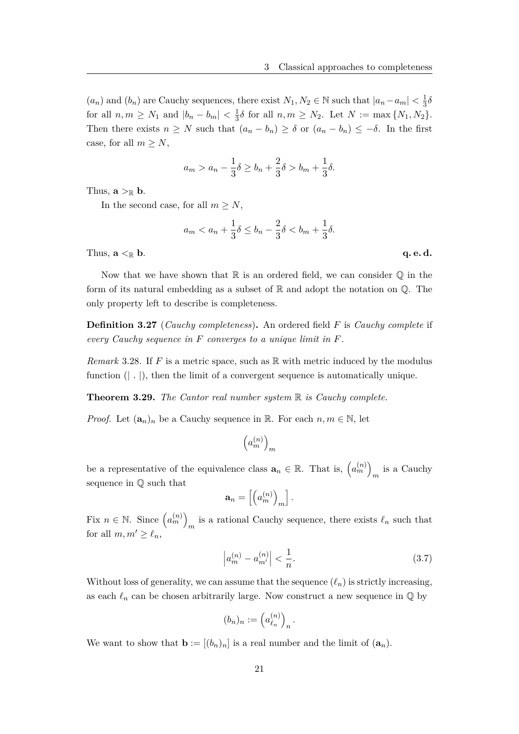$(a_n)$  and  $(b_n)$  are Cauchy sequences, there exist  $N_1, N_2 \in \mathbb{N}$  such that  $|a_n - a_m| < \frac{1}{3}$  $rac{1}{3}\delta$ for all  $n, m \ge N_1$  and  $|b_n - b_m| < \frac{1}{3}$  $\frac{1}{3}\delta$  for all  $n, m \geq N_2$ . Let  $N := \max\{N_1, N_2\}$ . Then there exists  $n \geq N$  such that  $(a_n - b_n) \geq \delta$  or  $(a_n - b_n) \leq -\delta$ . In the first case, for all  $m \geq N$ ,

$$
a_m > a_n - \frac{1}{3}\delta \ge b_n + \frac{2}{3}\delta > b_m + \frac{1}{3}\delta.
$$

Thus,  $\mathbf{a} >_{\mathbb{R}} \mathbf{b}$ .

In the second case, for all  $m \geq N$ ,

$$
a_m < a_n + \frac{1}{3}\delta \le b_n - \frac{2}{3}\delta < b_m + \frac{1}{3}\delta.
$$

Thus,  $\mathbf{a} \leq_{\mathbb{R}} \mathbf{b}$ . **q. e. d.** 

Now that we have shown that  $\mathbb R$  is an ordered field, we can consider  $\mathbb Q$  in the form of its natural embedding as a subset of  $\mathbb R$  and adopt the notation on  $\mathbb Q$ . The only property left to describe is completeness.

**Definition 3.27** (*Cauchy completeness*)**.** An ordered field *F* is *Cauchy complete* if *every Cauchy sequence in F converges to a unique limit in F.*

*Remark* 3.28. If *F* is a metric space, such as R with metric induced by the modulus function  $(| \nvert )$ , then the limit of a convergent sequence is automatically unique.

**Theorem 3.29.** *The Cantor real number system* R *is Cauchy complete.*

*Proof.* Let  $(\mathbf{a}_n)_n$  be a Cauchy sequence in R. For each  $n, m \in \mathbb{N}$ , let

$$
\left(a_m^{(n)}\right)_m
$$

be a representative of the equivalence class  $\mathbf{a}_n \in \mathbb{R}$ . That is,  $\left( a_m^{(n)} \right)$  $\frac{1}{m}$  is a Cauchy sequence in Q such that

$$
\mathbf{a}_n = \left[ \left( a_m^{(n)} \right)_m \right].
$$

Fix  $n \in \mathbb{N}$ . Since  $\left( a_m^{(n)} \right)$ is a rational Cauchy sequence, there exists  $\ell_n$  such that for all  $m, m' \geq \ell_n$ ,

$$
\left| a_m^{(n)} - a_{m'}^{(n)} \right| < \frac{1}{n}.\tag{3.7}
$$

Without loss of generality, we can assume that the sequence  $(\ell_n)$  is strictly increasing, as each  $\ell_n$  can be chosen arbitrarily large. Now construct a new sequence in  $\mathbb Q$  by

$$
(b_n)_n := \left(a_{\ell_n}^{(n)}\right)_n.
$$

We want to show that  $\mathbf{b} := [(b_n)_n]$  is a real number and the limit of  $(\mathbf{a}_n)$ .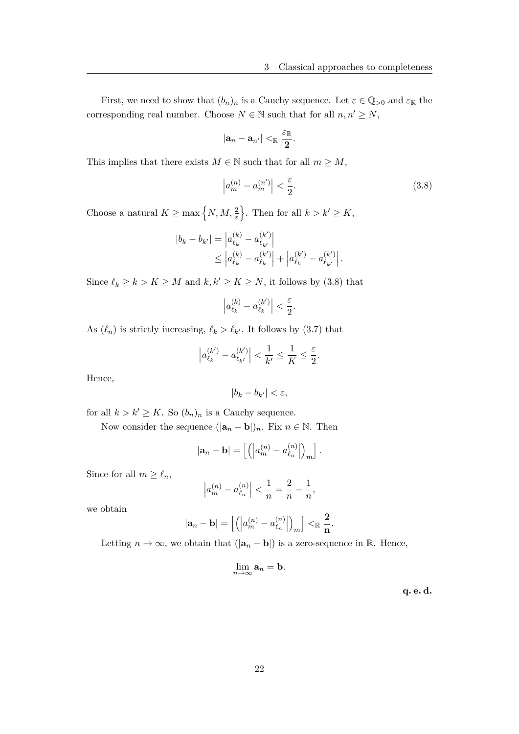First, we need to show that  $(b_n)_n$  is a Cauchy sequence. Let  $\varepsilon \in \mathbb{Q}_{>0}$  and  $\varepsilon_{\mathbb{R}}$  the corresponding real number. Choose  $N \in \mathbb{N}$  such that for all  $n, n' \geq N$ ,

$$
|\mathbf{a}_n-\mathbf{a}_{n'}|<_{\mathbb{R}} \frac{\varepsilon_{\mathbb{R}}}{2}.
$$

This implies that there exists  $M \in \mathbb{N}$  such that for all  $m \geq M$ ,

$$
\left| a_m^{(n)} - a_m^{(n')} \right| < \frac{\varepsilon}{2}.\tag{3.8}
$$

Choose a natural  $K \ge \max\left\{N, M, \frac{2}{\varepsilon}\right\}$ . Then for all  $k > k' \ge K$ ,

$$
|b_k - b_{k'}| = |a_{\ell_k}^{(k)} - a_{\ell_{k'}}^{(k')}|
$$
  
\n
$$
\leq |a_{\ell_k}^{(k)} - a_{\ell_k}^{(k')}| + |a_{\ell_k}^{(k')} - a_{\ell_{k'}}^{(k')}|.
$$

Since  $\ell_k \geq k > K \geq M$  and  $k, k' \geq K \geq N$ , it follows by (3.8) that

$$
\left|a_{\ell_k}^{(k)}-a_{\ell_k}^{(k')}\right|<\frac{\varepsilon}{2}.
$$

As  $(\ell_n)$  is strictly increasing,  $\ell_k > \ell_{k'}$ . It follows by (3.7) that

$$
\left|a_{\ell_k}^{(k')} - a_{\ell_{k'}}^{(k')} \right| < \frac{1}{k'} \le \frac{1}{K} \le \frac{\varepsilon}{2}.
$$

Hence,

$$
|b_k - b_{k'}| < \varepsilon
$$

for all  $k > k' \geq K$ . So  $(b_n)_n$  is a Cauchy sequence.

Now consider the sequence  $(|\mathbf{a}_n - \mathbf{b}|)_n$ . Fix  $n \in \mathbb{N}$ . Then

$$
|\mathbf{a}_n - \mathbf{b}| = \left[ \left( \left| a_m^{(n)} - a_{\ell_n}^{(n)} \right| \right)_m \right].
$$

Since for all  $m \geq \ell_n$ ,

$$
\left|a_m^{(n)}-a_{\ell_n}^{(n)}\right| < \frac{1}{n} = \frac{2}{n} - \frac{1}{n},
$$

we obtain

$$
|\textbf{a}_n-\textbf{b}|=\left[\left(\left|a_m^{(n)}-a_{\ell_n}^{(n)}\right|\right)_m\right]<_{\mathbb{R}}\frac{2}{n}.
$$

Letting  $n \to \infty$ , we obtain that  $(|\mathbf{a}_n - \mathbf{b}|)$  is a zero-sequence in R. Hence,

$$
\lim_{n\to\infty} \mathbf{a}_n = \mathbf{b}.
$$

**q. e. d.**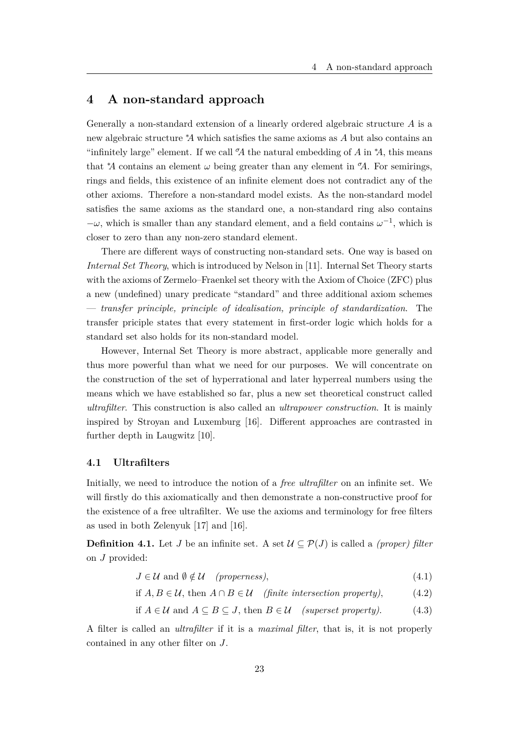## **4 A non-standard approach**

Generally a non-standard extension of a linearly ordered algebraic structure *A* is a new algebraic structure <sup>∗</sup>*A* which satisfies the same axioms as *A* but also contains an "infinitely large" element. If we call  $\mathcal{A}$  the natural embedding of *A* in  $^*A$ , this means that <sup>\*</sup>*A* contains an element  $\omega$  being greater than any element in  $\alpha$ <sup>*A*</sup>. For semirings, rings and fields, this existence of an infinite element does not contradict any of the other axioms. Therefore a non-standard model exists. As the non-standard model satisfies the same axioms as the standard one, a non-standard ring also contains  $-\omega$ , which is smaller than any standard element, and a field contains  $\omega^{-1}$ , which is closer to zero than any non-zero standard element.

There are different ways of constructing non-standard sets. One way is based on *Internal Set Theory*, which is introduced by Nelson in [11]. Internal Set Theory starts with the axioms of Zermelo–Fraenkel set theory with the Axiom of Choice (ZFC) plus a new (undefined) unary predicate "standard" and three additional axiom schemes — *transfer principle, principle of idealisation, principle of standardization*. The transfer priciple states that every statement in first-order logic which holds for a standard set also holds for its non-standard model.

However, Internal Set Theory is more abstract, applicable more generally and thus more powerful than what we need for our purposes. We will concentrate on the construction of the set of hyperrational and later hyperreal numbers using the means which we have established so far, plus a new set theoretical construct called *ultrafilter*. This construction is also called an *ultrapower construction*. It is mainly inspired by Stroyan and Luxemburg [16]. Different approaches are contrasted in further depth in Laugwitz [10].

## **4.1 Ultrafilters**

Initially, we need to introduce the notion of a *free ultrafilter* on an infinite set. We will firstly do this axiomatically and then demonstrate a non-constructive proof for the existence of a free ultrafilter. We use the axioms and terminology for free filters as used in both Zelenyuk [17] and [16].

**Definition 4.1.** Let *J* be an infinite set. A set  $\mathcal{U} \subseteq \mathcal{P}(J)$  is called a *(proper) filter* on *J* provided:

$$
J \in \mathcal{U} \text{ and } \emptyset \notin \mathcal{U} \quad (properties), \tag{4.1}
$$

if 
$$
A, B \in \mathcal{U}
$$
, then  $A \cap B \in \mathcal{U}$  (finite intersection property), (4.2)

if 
$$
A \in \mathcal{U}
$$
 and  $A \subseteq B \subseteq J$ , then  $B \in \mathcal{U}$  (superset property). (4.3)

A filter is called an *ultrafilter* if it is a *maximal filter*, that is, it is not properly contained in any other filter on *J*.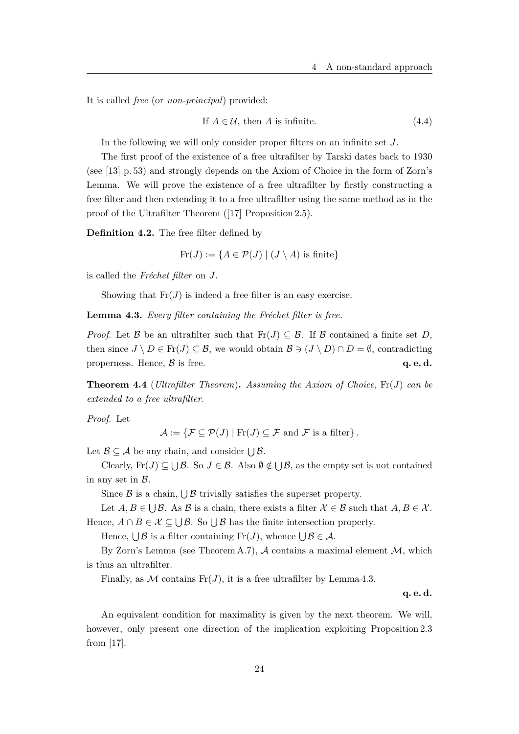It is called *free* (or *non-principal*) provided:

If 
$$
A \in \mathcal{U}
$$
, then A is infinite. (4.4)

In the following we will only consider proper filters on an infinite set *J*.

The first proof of the existence of a free ultrafilter by Tarski dates back to 1930 (see [13] p. 53) and strongly depends on the Axiom of Choice in the form of Zorn's Lemma. We will prove the existence of a free ultrafilter by firstly constructing a free filter and then extending it to a free ultrafilter using the same method as in the proof of the Ultrafilter Theorem ([17] Proposition 2.5).

**Definition 4.2.** The free filter defined by

 $\text{Fr}(J) := \{A \in \mathcal{P}(J) \mid (J \setminus A) \text{ is finite}\}\$ 

is called the *Fréchet filter* on *J*.

Showing that  $\text{Fr}(J)$  is indeed a free filter is an easy exercise.

**Lemma 4.3.** *Every filter containing the Fréchet filter is free.*

*Proof.* Let B be an ultrafilter such that  $\text{Fr}(J) \subseteq \mathcal{B}$ . If B contained a finite set D, then since  $J \setminus D \in \text{Fr}(J) \subseteq \mathcal{B}$ , we would obtain  $\mathcal{B} \ni (J \setminus D) \cap D = \emptyset$ , contradicting properness. Hence,  $\beta$  is free.  $q, e, d$ .

**Theorem 4.4** (*Ultrafilter Theorem*)**.** *Assuming the Axiom of Choice,* Fr(*J*) *can be extended to a free ultrafilter.*

*Proof.* Let

$$
\mathcal{A} := \{ \mathcal{F} \subseteq \mathcal{P}(J) \mid \text{Fr}(J) \subseteq \mathcal{F} \text{ and } \mathcal{F} \text{ is a filter} \}.
$$

Let  $\mathcal{B} \subseteq \mathcal{A}$  be any chain, and consider  $\bigcup \mathcal{B}$ .

Clearly,  $\text{Fr}(J) \subseteq \bigcup \mathcal{B}$ . So  $J \in \mathcal{B}$ . Also  $\emptyset \notin \bigcup \mathcal{B}$ , as the empty set is not contained in any set in  $\beta$ .

Since  $\beta$  is a chain,  $\bigcup \beta$  trivially satisfies the superset property.

Let  $A, B \in \bigcup \mathcal{B}$ . As  $\mathcal{B}$  is a chain, there exists a filter  $\mathcal{X} \in \mathcal{B}$  such that  $A, B \in \mathcal{X}$ . Hence,  $A \cap B \in \mathcal{X} \subseteq \bigcup \mathcal{B}$ . So  $\bigcup \mathcal{B}$  has the finite intersection property.

Hence,  $\bigcup \mathcal{B}$  is a filter containing  $\text{Fr}(J)$ , whence  $\bigcup \mathcal{B} \in \mathcal{A}$ .

By Zorn's Lemma (see Theorem A.7),  $\mathcal A$  contains a maximal element  $\mathcal M$ , which is thus an ultrafilter.

Finally, as M contains  $Fr(J)$ , it is a free ultrafilter by Lemma 4.3.

**q. e. d.**

An equivalent condition for maximality is given by the next theorem. We will, however, only present one direction of the implication exploiting Proposition 2.3 from [17].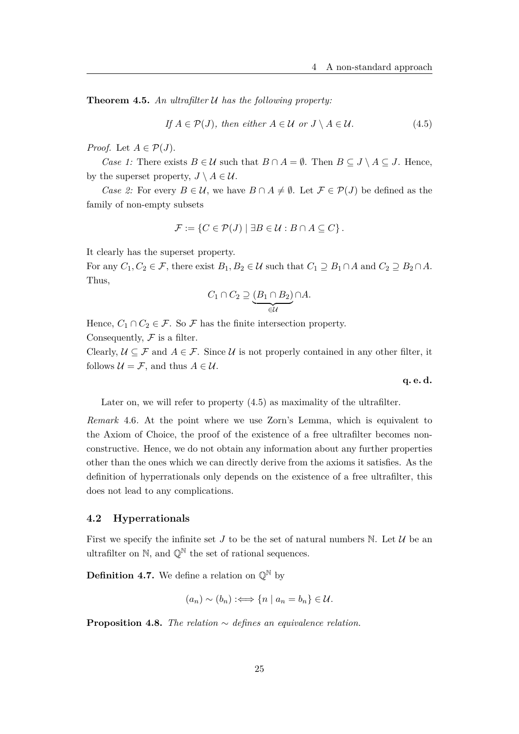**Theorem 4.5.** *An ultrafilter* U *has the following property:*

If 
$$
A \in \mathcal{P}(J)
$$
, then either  $A \in \mathcal{U}$  or  $J \setminus A \in \mathcal{U}$ . (4.5)

*Proof.* Let  $A \in \mathcal{P}(J)$ .

*Case 1:* There exists  $B \in \mathcal{U}$  such that  $B \cap A = \emptyset$ . Then  $B \subseteq J \setminus A \subseteq J$ . Hence, by the superset property,  $J \setminus A \in \mathcal{U}$ .

*Case 2:* For every  $B \in \mathcal{U}$ , we have  $B \cap A \neq \emptyset$ . Let  $\mathcal{F} \in \mathcal{P}(J)$  be defined as the family of non-empty subsets

$$
\mathcal{F} := \{ C \in \mathcal{P}(J) \mid \exists B \in \mathcal{U} : B \cap A \subseteq C \}.
$$

It clearly has the superset property.

For any  $C_1, C_2 \in \mathcal{F}$ , there exist  $B_1, B_2 \in \mathcal{U}$  such that  $C_1 \supseteq B_1 \cap A$  and  $C_2 \supseteq B_2 \cap A$ . Thus,

$$
C_1 \cap C_2 \supseteq \underbrace{(B_1 \cap B_2)}_{\in \mathcal{U}} \cap A.
$$

Hence,  $C_1 \cap C_2 \in \mathcal{F}$ . So  $\mathcal{F}$  has the finite intersection property.

Consequently,  $\mathcal F$  is a filter.

Clearly,  $\mathcal{U} \subseteq \mathcal{F}$  and  $A \in \mathcal{F}$ . Since  $\mathcal{U}$  is not properly contained in any other filter, it follows  $\mathcal{U} = \mathcal{F}$ , and thus  $A \in \mathcal{U}$ .

**q. e. d.**

Later on, we will refer to property (4.5) as maximality of the ultrafilter.

*Remark* 4.6*.* At the point where we use Zorn's Lemma, which is equivalent to the Axiom of Choice, the proof of the existence of a free ultrafilter becomes nonconstructive. Hence, we do not obtain any information about any further properties other than the ones which we can directly derive from the axioms it satisfies. As the definition of hyperrationals only depends on the existence of a free ultrafilter, this does not lead to any complications.

### **4.2 Hyperrationals**

First we specify the infinite set *J* to be the set of natural numbers  $\mathbb N$ . Let  $\mathcal U$  be an ultrafilter on  $\mathbb{N}$ , and  $\mathbb{Q}^{\mathbb{N}}$  the set of rational sequences.

**Definition 4.7.** We define a relation on  $\mathbb{O}^{\mathbb{N}}$  by

$$
(a_n) \sim (b_n) :\iff \{n \mid a_n = b_n\} \in \mathcal{U}.
$$

**Proposition 4.8.** *The relation* ∼ *defines an equivalence relation.*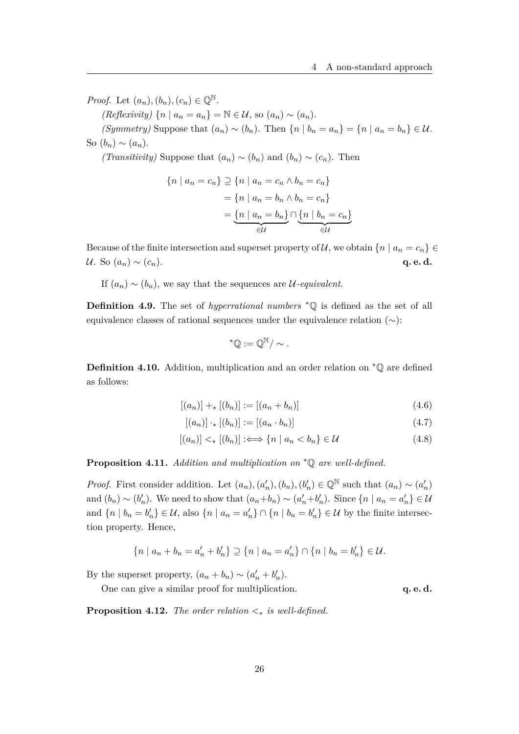*Proof.* Let  $(a_n)$ ,  $(b_n)$ ,  $(c_n) \in \mathbb{O}^{\mathbb{N}}$ .

 $(Reflexivity) \{n \mid a_n = a_n\} = \mathbb{N} \in \mathcal{U}$ , so  $(a_n) \sim (a_n)$ .

*(Symmetry)* Suppose that  $(a_n) \sim (b_n)$ . Then  $\{n \mid b_n = a_n\} = \{n \mid a_n = b_n\} \in \mathcal{U}$ . So  $(b_n) \sim (a_n)$ .

*(Transitivity)* Suppose that  $(a_n) \sim (b_n)$  and  $(b_n) \sim (c_n)$ . Then

$$
\{n \mid a_n = c_n\} \supseteq \{n \mid a_n = c_n \land b_n = c_n\}
$$

$$
= \{n \mid a_n = b_n \land b_n = c_n\}
$$

$$
= \underbrace{\{n \mid a_n = b_n\}}_{\in \mathcal{U}} \cap \underbrace{\{n \mid b_n = c_n\}}_{\in \mathcal{U}}
$$

Because of the finite intersection and superset property of U, we obtain  $\{n \mid a_n = c_n\} \in$  $U.$  So  $(a_n) \sim (c_n)$ . **q. e. d.** 

If  $(a_n) \sim (b_n)$ , we say that the sequences are *U*-equivalent.

**Definition 4.9.** The set of *hyperrational numbers* <sup>∗</sup>Q is defined as the set of all equivalence classes of rational sequences under the equivalence relation  $(\sim)$ :

$$
{}^*\mathbb{Q}:=\mathbb{Q}^{\mathbb{N}}/\sim.
$$

**Definition 4.10.** Addition, multiplication and an order relation on <sup>∗</sup>Q are defined as follows:

$$
[(a_n)] +_* [(b_n)] := [(a_n + b_n)] \tag{4.6}
$$

$$
[(a_n)] \cdot_* [(b_n)] := [(a_n \cdot b_n)] \tag{4.7}
$$

$$
[(a_n)] <_* [(b_n)] :\Longleftrightarrow \{n \mid a_n < b_n\} \in \mathcal{U}
$$
\n
$$
(4.8)
$$

**Proposition 4.11.** *Addition and multiplication on* <sup>∗</sup>Q *are well-defined.*

*Proof.* First consider addition. Let  $(a_n)$ ,  $(a'_n)$ ,  $(b_n)$ ,  $(b'_n) \in \mathbb{Q}^{\mathbb{N}}$  such that  $(a_n) \sim (a'_n)$ and  $(b_n) \sim (b'_n)$ . We need to show that  $(a_n + b_n) \sim (a'_n + b'_n)$ . Since  $\{n \mid a_n = a'_n\} \in \mathcal{U}$ and  $\{n \mid b_n = b'_n\} \in \mathcal{U}$ , also  $\{n \mid a_n = a'_n\} \cap \{n \mid b_n = b'_n\} \in \mathcal{U}$  by the finite intersection property. Hence,

$$
\{n \mid a_n + b_n = a'_n + b'_n\} \supseteq \{n \mid a_n = a'_n\} \cap \{n \mid b_n = b'_n\} \in \mathcal{U}.
$$

By the superset property,  $(a_n + b_n) \sim (a'_n + b'_n)$ .

One can give a similar proof for multiplication. **q. e. d.** 

**Proposition 4.12.** *The order relation*  $\lt_*$  *is well-defined.*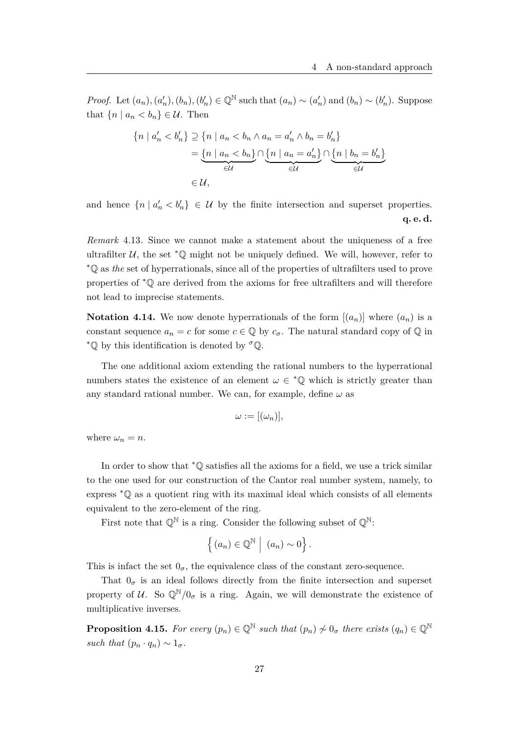*Proof.* Let  $(a_n), (a'_n), (b_n), (b'_n) \in \mathbb{Q}^{\mathbb{N}}$  such that  $(a_n) \sim (a'_n)$  and  $(b_n) \sim (b'_n)$ . Suppose that  $\{n \mid a_n < b_n\} \in \mathcal{U}$ . Then

$$
\{n \mid a'_n < b'_n\} \supseteq \{n \mid a_n < b_n \land a_n = a'_n \land b_n = b'_n\}
$$
\n
$$
= \underbrace{\{n \mid a_n < b_n\}}_{\in \mathcal{U}} \cap \underbrace{\{n \mid a_n = a'_n\}}_{\in \mathcal{U}} \cap \underbrace{\{n \mid b_n = b'_n\}}_{\in \mathcal{U}}
$$
\n
$$
\in \mathcal{U},
$$

and hence  $\{n \mid a'_n < b'_n\} \in U$  by the finite intersection and superset properties. **q. e. d.**

*Remark* 4.13*.* Since we cannot make a statement about the uniqueness of a free ultrafilter  $U$ , the set  $*$ © might not be uniquely defined. We will, however, refer to <sup>∗</sup>Q as *the* set of hyperrationals, since all of the properties of ultrafilters used to prove properties of <sup>∗</sup>Q are derived from the axioms for free ultrafilters and will therefore not lead to imprecise statements.

**Notation 4.14.** We now denote hyperrationals of the form  $[(a_n)]$  where  $(a_n)$  is a constant sequence  $a_n = c$  for some  $c \in \mathbb{Q}$  by  $c_{\sigma}$ . The natural standard copy of  $\mathbb{Q}$  in <sup>∗</sup>Q by this identification is denoted by *<sup>σ</sup>*Q.

The one additional axiom extending the rational numbers to the hyperrational numbers states the existence of an element  $\omega \in \mathcal{L}(\mathbb{Q})$  which is strictly greater than any standard rational number. We can, for example, define  $\omega$  as

$$
\omega := [(\omega_n)],
$$

where  $\omega_n = n$ .

In order to show that <sup>∗</sup>Q satisfies all the axioms for a field, we use a trick similar to the one used for our construction of the Cantor real number system, namely, to express <sup>∗</sup>Q as a quotient ring with its maximal ideal which consists of all elements equivalent to the zero-element of the ring.

First note that  $\mathbb{Q}^{\mathbb{N}}$  is a ring. Consider the following subset of  $\mathbb{Q}^{\mathbb{N}}$ :

$$
\left\{ (a_n) \in \mathbb{Q}^{\mathbb{N}} \middle| (a_n) \sim 0 \right\}.
$$

This is infact the set  $0_{\sigma}$ , the equivalence class of the constant zero-sequence.

That  $0_{\sigma}$  is an ideal follows directly from the finite intersection and superset property of U. So  $\mathbb{Q}^{\mathbb{N}}/0_{\sigma}$  is a ring. Again, we will demonstrate the existence of multiplicative inverses.

**Proposition 4.15.** *For every*  $(p_n) \in \mathbb{Q}^{\mathbb{N}}$  *such that*  $(p_n) \nsim 0_{\sigma}$  *there exists*  $(q_n) \in \mathbb{Q}^{\mathbb{N}}$ *such that*  $(p_n \cdot q_n) \sim 1_{\sigma}$ .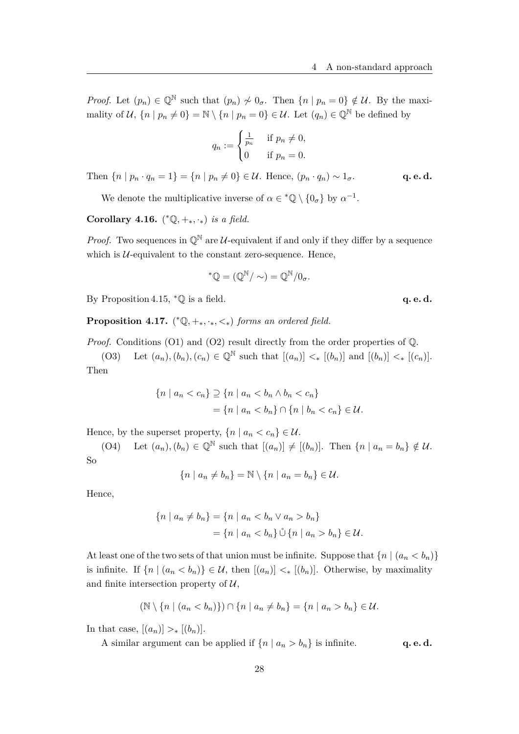*Proof.* Let  $(p_n) \in \mathbb{Q}^{\mathbb{N}}$  such that  $(p_n) \nsim 0_{\sigma}$ . Then  $\{n \mid p_n = 0\} \notin \mathcal{U}$ . By the maximality of  $U$ ,  $\{n \mid p_n \neq 0\} = \mathbb{N} \setminus \{n \mid p_n = 0\} \in U$ . Let  $(q_n) \in \mathbb{Q}^{\mathbb{N}}$  be defined by

$$
q_n := \begin{cases} \frac{1}{p_n} & \text{if } p_n \neq 0, \\ 0 & \text{if } p_n = 0. \end{cases}
$$

Then  $\{n \mid p_n \cdot q_n = 1\} = \{n \mid p_n \neq 0\} \in \mathcal{U}$ . Hence,  $(p_n \cdot q_n) \sim 1_{\sigma}$ . **q. e. d.** 

We denote the multiplicative inverse of  $\alpha \in {}^*\mathbb{Q} \setminus \{0_\sigma\}$  by  $\alpha^{-1}$ .

**Corollary 4.16.**  $({}^*\mathbb{Q}, +_*, \cdot_*)$  *is a field.* 

*Proof.* Two sequences in  $\mathbb{Q}^{\mathbb{N}}$  are U-equivalent if and only if they differ by a sequence which is  $U$ -equivalent to the constant zero-sequence. Hence,

$$
^{\ast }\mathbb{Q}=(\mathbb{Q}^{\mathbb{N}}/\sim )=\mathbb{Q}^{\mathbb{N}}/0_{\sigma }.
$$

By Proposition 4.15, <sup>∗</sup>ℚ is a field. **q. e. d.** 

**Proposition 4.17.** ( <sup>∗</sup>Q*,* +∗*,* ·∗*, <*∗) *forms an ordered field.*

*Proof.* Conditions (O1) and (O2) result directly from the order properties of Q.

(O3) Let  $(a_n), (b_n), (c_n) \in \mathbb{Q}^{\mathbb{N}}$  such that  $[(a_n)] \leq_* [(b_n)]$  and  $[(b_n)] \leq_* [(c_n)]$ . Then

$$
\{n \mid a_n < c_n\} \supseteq \{n \mid a_n < b_n \land b_n < c_n\} \\
= \{n \mid a_n < b_n\} \cap \{n \mid b_n < c_n\} \in \mathcal{U}.
$$

Hence, by the superset property,  $\{n \mid a_n < c_n\} \in \mathcal{U}$ .

(O4) Let  $(a_n)$ ,  $(b_n) \in \mathbb{Q}^{\mathbb{N}}$  such that  $[(a_n)] \neq [(b_n)]$ . Then  $\{n \mid a_n = b_n\} \notin \mathcal{U}$ . So

$$
\{n \mid a_n \neq b_n\} = \mathbb{N} \setminus \{n \mid a_n = b_n\} \in \mathcal{U}.
$$

Hence,

$$
\{n \mid a_n \neq b_n\} = \{n \mid a_n < b_n \lor a_n > b_n\}
$$
  
= 
$$
\{n \mid a_n < b_n\} \mathring{\cup} \{n \mid a_n > b_n\} \in \mathcal{U}.
$$

At least one of the two sets of that union must be infinite. Suppose that  $\{n \mid (a_n < b_n)\}\$ is infinite. If  $\{n \mid (a_n < b_n)\}\in \mathcal{U}$ , then  $[(a_n)] <_* [b_n]$ . Otherwise, by maximality and finite intersection property of  $\mathcal{U}$ ,

$$
(\mathbb{N} \setminus \{n \mid (a_n < b_n)\}) \cap \{n \mid a_n \neq b_n\} = \{n \mid a_n > b_n\} \in \mathcal{U}.
$$

In that case,  $[(a_n)] >_* [(b_n)]$ .

A similar argument can be applied if  $\{n \mid a_n > b_n\}$  is infinite. **q. e. d.**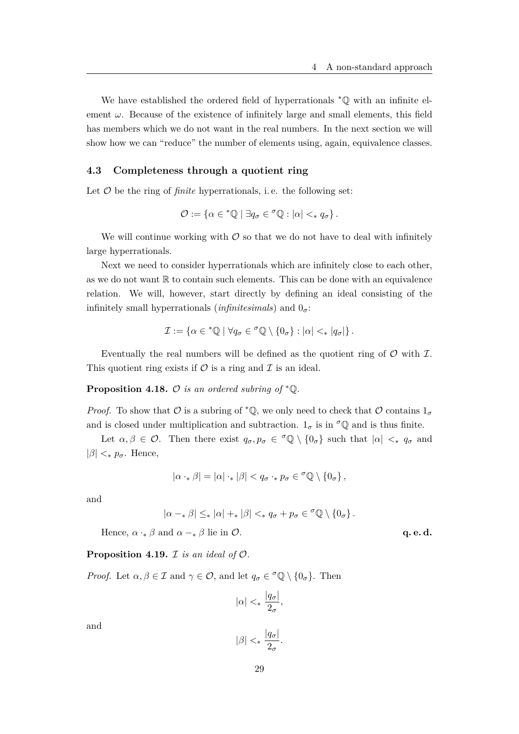We have established the ordered field of hyperrationals <sup>∗</sup>Q with an infinite element  $\omega$ . Because of the existence of infinitely large and small elements, this field has members which we do not want in the real numbers. In the next section we will show how we can "reduce" the number of elements using, again, equivalence classes.

## **4.3 Completeness through a quotient ring**

Let  $\mathcal O$  be the ring of *finite* hyperrationals, i.e. the following set:

$$
\mathcal{O} := \{ \alpha \in {}^*\mathbb{Q} \mid \exists q_\sigma \in {}^\sigma \mathbb{Q} : |\alpha| <_* q_\sigma \}.
$$

We will continue working with  $\mathcal O$  so that we do not have to deal with infinitely large hyperrationals.

Next we need to consider hyperrationals which are infinitely close to each other, as we do not want  $\mathbb R$  to contain such elements. This can be done with an equivalence relation. We will, however, start directly by defining an ideal consisting of the infinitely small hyperrationals (*infinitesimals*) and 0*σ*:

$$
\mathcal{I} := \{ \alpha \in {}^*\mathbb{Q} \mid \forall q_\sigma \in {}^\sigma\mathbb{Q} \setminus \{0_\sigma\} : |\alpha| <_* |q_\sigma| \}.
$$

Eventually the real numbers will be defined as the quotient ring of  $\mathcal O$  with  $\mathcal I$ . This quotient ring exists if  $\mathcal O$  is a ring and  $\mathcal I$  is an ideal.

**Proposition 4.18.**  $\mathcal{O}$  *is an ordered subring of*  $*$  $\mathbb{O}$ *.* 

*Proof.* To show that  $\mathcal O$  is a subring of  $^*\mathbb Q$ , we only need to check that  $\mathcal O$  contains  $1_{\sigma}$ and is closed under multiplication and subtraction.  $1_{\sigma}$  is in  $^{\sigma}$ Q and is thus finite.

Let  $\alpha, \beta \in \mathcal{O}$ . Then there exist  $q_{\sigma}, p_{\sigma} \in {}^{\sigma} \mathbb{Q} \setminus \{0_{\sigma}\}\$  such that  $|\alpha| \leq_{*} q_{\sigma}$  and  $|\beta| <_* p_{\sigma}$ . Hence,

$$
|\alpha \cdot_* \beta| = |\alpha| \cdot_* |\beta| < q_\sigma \cdot_* p_\sigma \in {}^\sigma \mathbb{Q} \setminus \{0_\sigma\},
$$

and

$$
|\alpha - * \beta| \leq_* |\alpha| +_* |\beta| <_* q_\sigma + p_\sigma \in {}^\sigma \mathbb{Q} \setminus \{0_\sigma\}.
$$

Hence,  $\alpha \cdot_{*} \beta$  and  $\alpha -_{*} \beta$  lie in  $\mathcal{O}$ . **q. e. d.** 

**Proposition 4.19.**  $\mathcal{I}$  *is an ideal of*  $\mathcal{O}$ *.* 

*Proof.* Let  $\alpha, \beta \in \mathcal{I}$  and  $\gamma \in \mathcal{O}$ , and let  $q_{\sigma} \in {}^{\sigma} \mathbb{Q} \setminus \{0_{\sigma}\}\$ . Then

$$
|\alpha| <_* \frac{|q_\sigma|}{2_\sigma},
$$

and

$$
|\beta| <_* \frac{|q_\sigma|}{2_\sigma}.
$$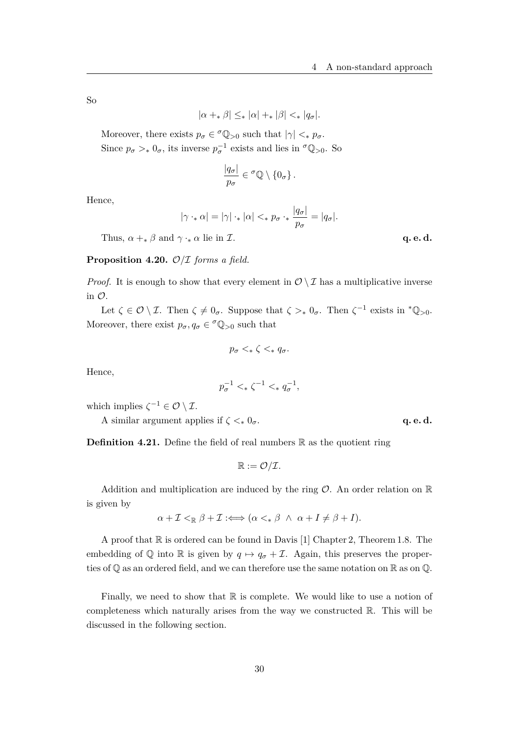So

$$
|\alpha + \beta| \leq_* |\alpha| + |\beta| <_* |q_\sigma|.
$$

Moreover, there exists  $p_{\sigma} \in {}^{\sigma} \mathbb{Q}_{>0}$  such that  $|\gamma| \leq_{*} p_{\sigma}$ . Since  $p_{\sigma} >_* 0_{\sigma}$ , its inverse  $p_{\sigma}^{-1}$  exists and lies in  $\sigma_{\mathbb{Q}_{>0}}$ . So

$$
\frac{|q_{\sigma}|}{p_{\sigma}} \in {}^{\sigma} \mathbb{Q} \setminus \{0_{\sigma}\}.
$$

Hence,

$$
|\gamma \cdot_* \alpha| = |\gamma| \cdot_* |\alpha| <_* p_\sigma \cdot_* \frac{|q_\sigma|}{p_\sigma} = |q_\sigma|.
$$

Thus,  $\alpha +_{*} \beta$  and  $\gamma \cdot_{*} \alpha$  lie in *I*. **q. e. d.** 

#### **Proposition 4.20.** O*/*I *forms a field.*

*Proof.* It is enough to show that every element in  $\mathcal{O} \setminus \mathcal{I}$  has a multiplicative inverse in O.

Let  $\zeta \in \mathcal{O} \setminus \mathcal{I}$ . Then  $\zeta \neq 0_{\sigma}$ . Suppose that  $\zeta >_* 0_{\sigma}$ . Then  $\zeta^{-1}$  exists in  $^*\mathbb{Q}_{>0}$ . Moreover, there exist  $p_{\sigma}, q_{\sigma} \in {}^{\sigma} \mathbb{Q}_{>0}$  such that

$$
p_{\sigma} <_{\ast} \zeta <_{\ast} q_{\sigma}.
$$

Hence,

$$
p_{\sigma}^{-1} <_{*} \zeta^{-1} <_{*} q_{\sigma}^{-1},
$$

which implies  $\zeta^{-1} \in \mathcal{O} \setminus \mathcal{I}$ .

A similar argument applies if  $\zeta \leq_{*} 0_{\sigma}$ . **q. e. d.** 

**Definition 4.21.** Define the field of real numbers  $\mathbb{R}$  as the quotient ring

$$
\mathbb{R}:=\mathcal{O}/\mathcal{I}.
$$

Addition and multiplication are induced by the ring  $\mathcal{O}$ . An order relation on  $\mathbb R$ is given by

$$
\alpha + \mathcal{I} <_{\mathbb{R}} \beta + \mathcal{I} \iff (\alpha <_{*} \beta \ \land \ \alpha + I \neq \beta + I).
$$

A proof that  $\mathbb R$  is ordered can be found in Davis [1] Chapter 2, Theorem 1.8. The embedding of Q into R is given by  $q \mapsto q_{\sigma} + \mathcal{I}$ . Again, this preserves the properties of Q as an ordered field, and we can therefore use the same notation on R as on Q.

Finally, we need to show that  $\mathbb R$  is complete. We would like to use a notion of completeness which naturally arises from the way we constructed R. This will be discussed in the following section.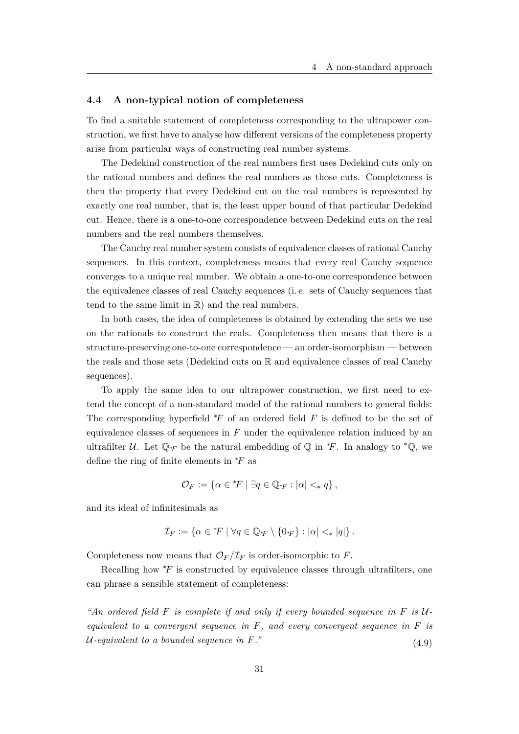#### **4.4 A non-typical notion of completeness**

To find a suitable statement of completeness corresponding to the ultrapower construction, we first have to analyse how different versions of the completeness property arise from particular ways of constructing real number systems.

The Dedekind construction of the real numbers first uses Dedekind cuts only on the rational numbers and defines the real numbers as those cuts. Completeness is then the property that every Dedekind cut on the real numbers is represented by exactly one real number, that is, the least upper bound of that particular Dedekind cut. Hence, there is a one-to-one correspondence between Dedekind cuts on the real numbers and the real numbers themselves.

The Cauchy real number system consists of equivalence classes of rational Cauchy sequences. In this context, completeness means that every real Cauchy sequence converges to a unique real number. We obtain a one-to-one correspondence between the equivalence classes of real Cauchy sequences (i. e. sets of Cauchy sequences that tend to the same limit in  $\mathbb{R}$ ) and the real numbers.

In both cases, the idea of completeness is obtained by extending the sets we use on the rationals to construct the reals. Completeness then means that there is a structure-preserving one-to-one correspondence — an order-isomorphism — between the reals and those sets (Dedekind cuts on R and equivalence classes of real Cauchy sequences).

To apply the same idea to our ultrapower construction, we first need to extend the concept of a non-standard model of the rational numbers to general fields: The corresponding hyperfield <sup>∗</sup>*F* of an ordered field *F* is defined to be the set of equivalence classes of sequences in *F* under the equivalence relation induced by an ultrafilter  $\mathcal U$ . Let  $\mathbb Q_{*F}$  be the natural embedding of  $\mathbb Q$  in  $*F$ . In analogy to  $*\mathbb Q$ , we define the ring of finite elements in <sup>∗</sup>*F* as

$$
\mathcal{O}_F := \{ \alpha \in {}^*F \mid \exists q \in \mathbb{Q}_{*F} : |\alpha| <_* q \},
$$

and its ideal of infinitesimals as

$$
\mathcal{I}_F := \{ \alpha \in {}^*F \mid \forall q \in \mathbb{Q}_{*F} \setminus \{0_{*F}\} : |\alpha| <_* |q| \}.
$$

Completeness now means that  $\mathcal{O}_F/\mathcal{I}_F$  is order-isomorphic to *F*.

Recalling how <sup>∗</sup>*F* is constructed by equivalence classes through ultrafilters, one can phrase a sensible statement of completeness:

*"An ordered field F is complete if and only if every bounded sequence in F is* U*equivalent to a convergent sequence in F, and every convergent sequence in F is*  $U$ -equivalent to a bounded sequence in  $F$ ."  $(4.9)$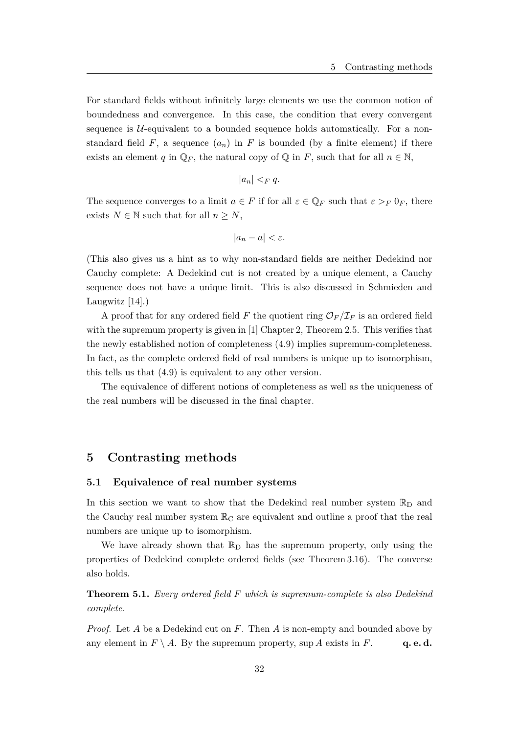For standard fields without infinitely large elements we use the common notion of boundedness and convergence. In this case, the condition that every convergent sequence is  $U$ -equivalent to a bounded sequence holds automatically. For a nonstandard field  $F$ , a sequence  $(a_n)$  in  $F$  is bounded (by a finite element) if there exists an element *q* in  $\mathbb{Q}_F$ , the natural copy of  $\mathbb{Q}$  in *F*, such that for all  $n \in \mathbb{N}$ ,

$$
|a_n| <_F q.
$$

The sequence converges to a limit  $a \in F$  if for all  $\varepsilon \in \mathbb{Q}_F$  such that  $\varepsilon >_F 0_F$ , there exists  $N \in \mathbb{N}$  such that for all  $n \geq N$ ,

$$
|a_n - a| < \varepsilon.
$$

(This also gives us a hint as to why non-standard fields are neither Dedekind nor Cauchy complete: A Dedekind cut is not created by a unique element, a Cauchy sequence does not have a unique limit. This is also discussed in Schmieden and Laugwitz [14].)

A proof that for any ordered field *F* the quotient ring  $\mathcal{O}_F/\mathcal{I}_F$  is an ordered field with the supremum property is given in [1] Chapter 2, Theorem 2.5. This verifies that the newly established notion of completeness (4.9) implies supremum-completeness. In fact, as the complete ordered field of real numbers is unique up to isomorphism, this tells us that (4.9) is equivalent to any other version.

The equivalence of different notions of completeness as well as the uniqueness of the real numbers will be discussed in the final chapter.

## **5 Contrasting methods**

### **5.1 Equivalence of real number systems**

In this section we want to show that the Dedekind real number system  $\mathbb{R}_{\text{D}}$  and the Cauchy real number system  $\mathbb{R}_{\mathbb{C}}$  are equivalent and outline a proof that the real numbers are unique up to isomorphism.

We have already shown that  $\mathbb{R}_{D}$  has the supremum property, only using the properties of Dedekind complete ordered fields (see Theorem 3.16). The converse also holds.

**Theorem 5.1.** *Every ordered field F which is supremum-complete is also Dedekind complete.*

*Proof.* Let *A* be a Dedekind cut on *F*. Then *A* is non-empty and bounded above by any element in  $F \setminus A$ . By the supremum property, sup *A* exists in *F*. **q. e. d.**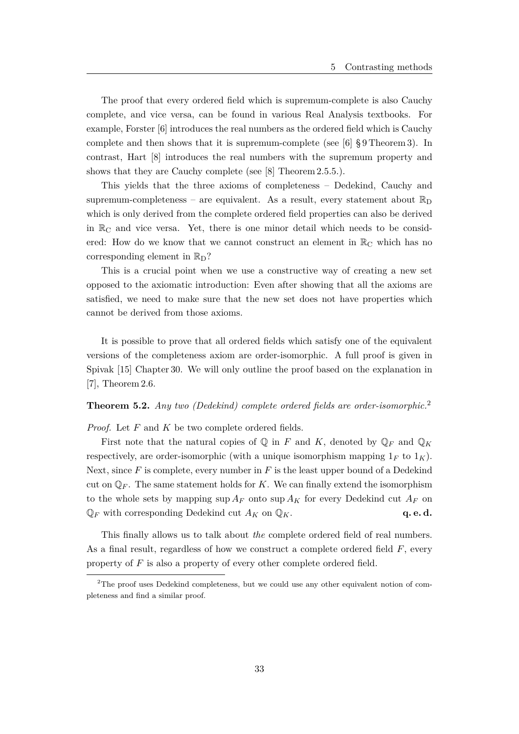The proof that every ordered field which is supremum-complete is also Cauchy complete, and vice versa, can be found in various Real Analysis textbooks. For example, Forster [6] introduces the real numbers as the ordered field which is Cauchy complete and then shows that it is supremum-complete (see [6] § 9 Theorem 3). In contrast, Hart [8] introduces the real numbers with the supremum property and shows that they are Cauchy complete (see [8] Theorem 2.5.5.).

This yields that the three axioms of completeness – Dedekind, Cauchy and supremum-completeness – are equivalent. As a result, every statement about  $\mathbb{R}_{\text{D}}$ which is only derived from the complete ordered field properties can also be derived in  $\mathbb{R}_{\mathbb{C}}$  and vice versa. Yet, there is one minor detail which needs to be considered: How do we know that we cannot construct an element in  $\mathbb{R}_{\mathbb{C}}$  which has no corresponding element in  $\mathbb{R}_{\mathbb{D}}$ ?

This is a crucial point when we use a constructive way of creating a new set opposed to the axiomatic introduction: Even after showing that all the axioms are satisfied, we need to make sure that the new set does not have properties which cannot be derived from those axioms.

It is possible to prove that all ordered fields which satisfy one of the equivalent versions of the completeness axiom are order-isomorphic. A full proof is given in Spivak [15] Chapter 30. We will only outline the proof based on the explanation in [7], Theorem 2.6.

## **Theorem 5.2.** *Any two (Dedekind) complete ordered fields are order-isomorphic.*<sup>2</sup>

*Proof.* Let *F* and *K* be two complete ordered fields.

First note that the natural copies of  $\mathbb Q$  in *F* and *K*, denoted by  $\mathbb Q_F$  and  $\mathbb Q_K$ respectively, are order-isomorphic (with a unique isomorphism mapping  $1_F$  to  $1_K$ ). Next, since *F* is complete, every number in *F* is the least upper bound of a Dedekind cut on  $\mathbb{Q}_F$ . The same statement holds for *K*. We can finally extend the isomorphism to the whole sets by mapping  $\sup A_F$  onto  $\sup A_K$  for every Dedekind cut  $A_F$  on  $\mathbb{Q}_F$  with corresponding Dedekind cut  $A_K$  on  $\mathbb{Q}_K$ . **q. e. d.** 

This finally allows us to talk about *the* complete ordered field of real numbers. As a final result, regardless of how we construct a complete ordered field *F*, every property of *F* is also a property of every other complete ordered field.

<sup>&</sup>lt;sup>2</sup>The proof uses Dedekind completeness, but we could use any other equivalent notion of completeness and find a similar proof.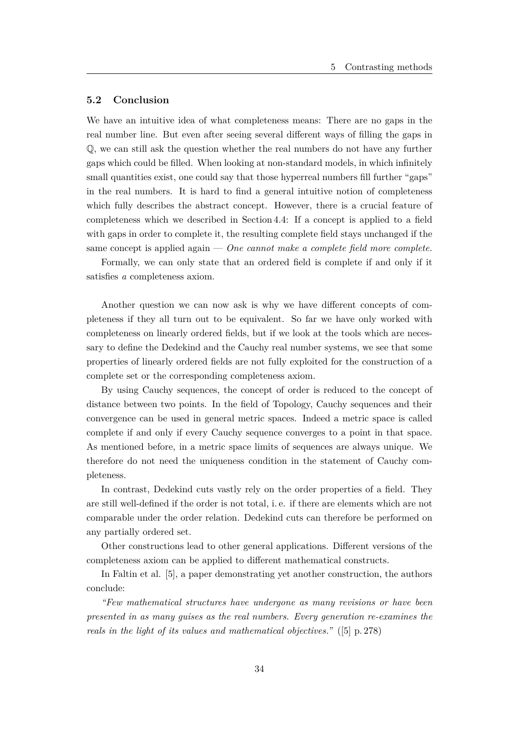### **5.2 Conclusion**

We have an intuitive idea of what completeness means: There are no gaps in the real number line. But even after seeing several different ways of filling the gaps in Q, we can still ask the question whether the real numbers do not have any further gaps which could be filled. When looking at non-standard models, in which infinitely small quantities exist, one could say that those hyperreal numbers fill further "gaps" in the real numbers. It is hard to find a general intuitive notion of completeness which fully describes the abstract concept. However, there is a crucial feature of completeness which we described in Section 4.4: If a concept is applied to a field with gaps in order to complete it, the resulting complete field stays unchanged if the same concept is applied again — *One cannot make a complete field more complete.*

Formally, we can only state that an ordered field is complete if and only if it satisfies *a* completeness axiom.

Another question we can now ask is why we have different concepts of completeness if they all turn out to be equivalent. So far we have only worked with completeness on linearly ordered fields, but if we look at the tools which are necessary to define the Dedekind and the Cauchy real number systems, we see that some properties of linearly ordered fields are not fully exploited for the construction of a complete set or the corresponding completeness axiom.

By using Cauchy sequences, the concept of order is reduced to the concept of distance between two points. In the field of Topology, Cauchy sequences and their convergence can be used in general metric spaces. Indeed a metric space is called complete if and only if every Cauchy sequence converges to a point in that space. As mentioned before, in a metric space limits of sequences are always unique. We therefore do not need the uniqueness condition in the statement of Cauchy completeness.

In contrast, Dedekind cuts vastly rely on the order properties of a field. They are still well-defined if the order is not total, i. e. if there are elements which are not comparable under the order relation. Dedekind cuts can therefore be performed on any partially ordered set.

Other constructions lead to other general applications. Different versions of the completeness axiom can be applied to different mathematical constructs.

In Faltin et al. [5], a paper demonstrating yet another construction, the authors conclude:

*"Few mathematical structures have undergone as many revisions or have been presented in as many guises as the real numbers. Every generation re-examines the reals in the light of its values and mathematical objectives."* ([5] p. 278)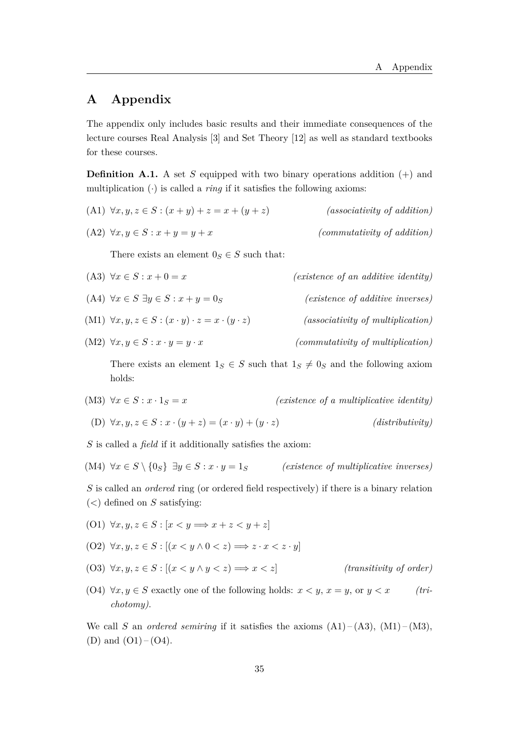## **A Appendix**

The appendix only includes basic results and their immediate consequences of the lecture courses Real Analysis [3] and Set Theory [12] as well as standard textbooks for these courses.

**Definition A.1.** A set *S* equipped with two binary operations addition  $(+)$  and multiplication  $\left(\cdot\right)$  is called a *ring* if it satisfies the following axioms:

(A1)  $\forall x, y, z \in S : (x + y) + z = x + (y + z)$  *(associativity of addition)* 

(A2) 
$$
\forall x, y \in S : x + y = y + x
$$
 (commutativity of addition)

There exists an element  $0<sub>S</sub> \in S$  such that:

- (A3)  $\forall x \in S : x + 0 = x$  *(existence of an additive identity)*
- (A4)  $\forall x \in S \; \exists y \in S : x + y = 0_S$  *(existence of additive inverses)*
- (M1)  $\forall x, y, z \in S : (x \cdot y) \cdot z = x \cdot (y \cdot z)$  *(associativity of multiplication)*
- (M2)  $\forall x, y \in S : x \cdot y = y \cdot x$  *(commutativity of multiplication)*

There exists an element  $1_S \in S$  such that  $1_S \neq 0_S$  and the following axiom holds:

- (M3)  $\forall x \in S : x \cdot 1_S = x$  *(existence of a multiplicative identity)*
- (D)  $\forall x, y, z \in S : x \cdot (y + z) = (x \cdot y) + (y \cdot z)$  *(distributivity)*

*S* is called a *field* if it additionally satisfies the axiom:

(M4)  $\forall x \in S \setminus \{0_S\} \exists y \in S : x \cdot y = 1_S$  *(existence of multiplicative inverses)* 

*S* is called an *ordered* ring (or ordered field respectively) if there is a binary relation (*<*) defined on *S* satisfying:

- (O1)  $\forall x, y, z \in S : [x < y \Longrightarrow x + z < y + z]$
- $(02) \forall x, y, z \in S : [(x \leq y \land 0 \leq z) \Longrightarrow z \cdot x \leq z \cdot y]$
- (O3)  $\forall x, y, z \in S : [(x \leq y \land y \leq z) \Longrightarrow x \leq z]$  *(transitivity of order)*
- (O4)  $\forall x, y \in S$  exactly one of the following holds:  $x < y, x = y$ , or  $y < x$  (tri*chotomy)*.

We call *S* an *ordered semiring* if it satisfies the axioms  $(A1) - (A3)$ ,  $(M1) - (M3)$ , (D) and  $(O1) - (O4)$ .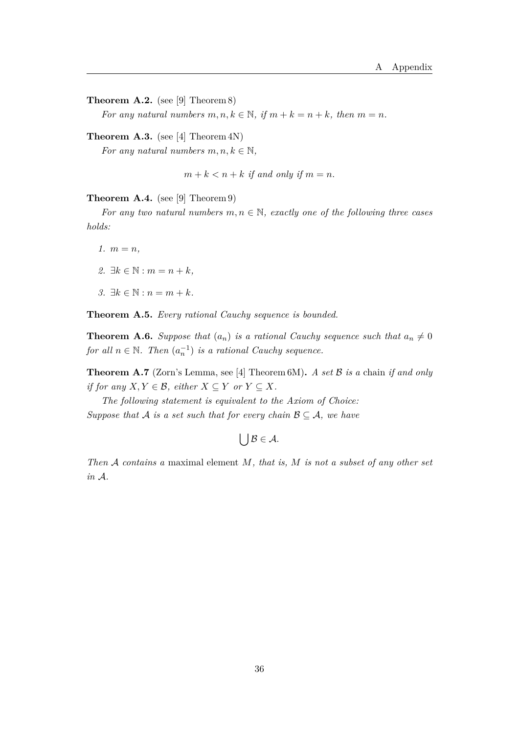**Theorem A.2.** (see [9] Theorem 8)

*For any natural numbers*  $m, n, k \in \mathbb{N}$ , if  $m + k = n + k$ , then  $m = n$ .

**Theorem A.3.** (see [4] Theorem 4N) *For any natural numbers*  $m, n, k \in \mathbb{N}$ ,

 $m + k < n + k$  *if and only if*  $m = n$ .

**Theorem A.4.** (see [9] Theorem 9)

*For any two natural numbers*  $m, n \in \mathbb{N}$ *, exactly one of the following three cases holds:*

 $1.$   $m = n$ , *2.* ∃ $k \in \mathbb{N} : m = n + k$ *, 3.* ∃ $k \in \mathbb{N}$  :  $n = m + k$ .

**Theorem A.5.** *Every rational Cauchy sequence is bounded.*

**Theorem A.6.** *Suppose that*  $(a_n)$  *is a rational Cauchy sequence such that*  $a_n \neq 0$ *for all*  $n \in \mathbb{N}$ *. Then*  $(a_n^{-1})$  *is a rational Cauchy sequence.* 

**Theorem A.7** (Zorn's Lemma, see [4] Theorem 6M)**.** *A set* B *is a* chain *if and only if for any*  $X, Y \in \mathcal{B}$ *, either*  $X \subseteq Y$  *or*  $Y \subseteq X$ *.* 

*The following statement is equivalent to the Axiom of Choice: Suppose that*  $A$  *is a set such that for every chain*  $B \subseteq A$ *, we have* 

 $\bigcup \mathcal{B} \in \mathcal{A}$ .

*Then* A *contains a* maximal element *M, that is, M is not a subset of any other set in* A*.*